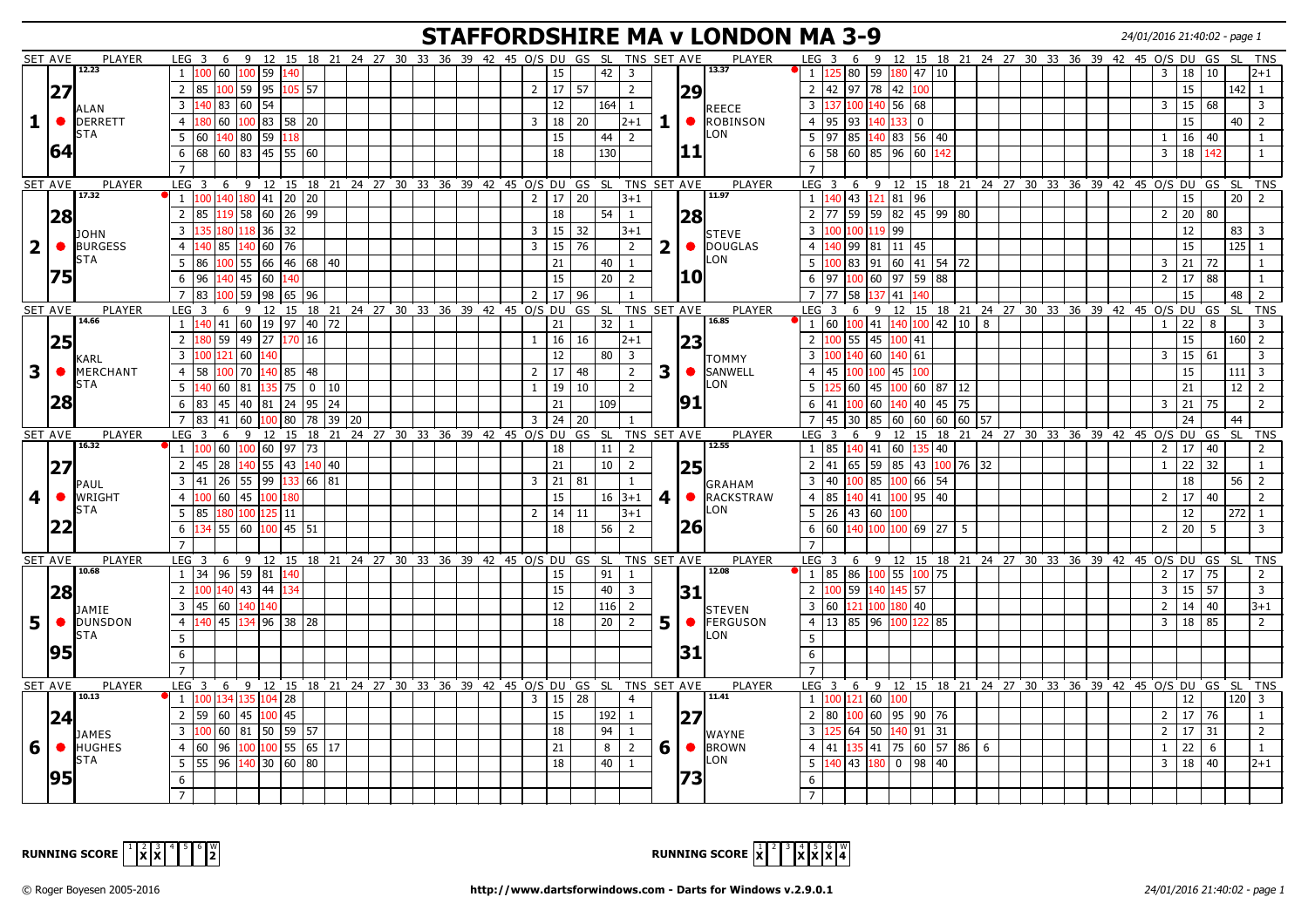## **STAFFORDSHIRE MA v LONDON MA 3-9** 24/01/2016 21:40:02 - page 1

|                         | <b>SET AVE</b> | <b>PLAYER</b>               | LEG 3                                                                                      |                      |                                                |             |  |  |  |                  |                     |                                                      |                | 6 9 12 15 18 21 24 27 30 33 36 39 42 45 O/S DU GS SL TNS SET AVE |                 | PLAYER                                | LEG <sub>3</sub>          |     |                     |                                                             |                |                                                               |  |  | 6 9 12 15 18 21 24 27 30 33 36 39 42 45 0/S DU GS SL           |                |                     |              |             | <b>TNS</b>              |
|-------------------------|----------------|-----------------------------|--------------------------------------------------------------------------------------------|----------------------|------------------------------------------------|-------------|--|--|--|------------------|---------------------|------------------------------------------------------|----------------|------------------------------------------------------------------|-----------------|---------------------------------------|---------------------------|-----|---------------------|-------------------------------------------------------------|----------------|---------------------------------------------------------------|--|--|----------------------------------------------------------------|----------------|---------------------|--------------|-------------|-------------------------|
|                         |                | 12.23                       | $100$ 60 100 59 140<br>1                                                                   |                      |                                                |             |  |  |  |                  | 15                  | 42                                                   | 3              |                                                                  |                 | 13.37                                 |                           |     |                     | $1 \vert 125 \vert 80 \vert 59 \vert 180 \vert 47 \vert 10$ |                |                                                               |  |  |                                                                | 3              |                     | 18 10        |             | $2 + 1$                 |
|                         | 27             |                             | 2 85 100 59 95 105 57                                                                      |                      |                                                |             |  |  |  | 2 <sup>1</sup>   | 17                  | 57                                                   |                | $\overline{2}$                                                   |                 | 29                                    |                           |     |                     | 2 42 97 78 42 100                                           |                |                                                               |  |  |                                                                |                | 15                  |              | $142$ 1     |                         |
|                         |                |                             | $\overline{3}$<br>140   83   60   54                                                       |                      |                                                |             |  |  |  |                  | 12                  | 164                                                  | -1             |                                                                  |                 |                                       | $\overline{3}$            |     | 100                 | 140 56 68                                                   |                |                                                               |  |  |                                                                | 3              | 15                  | 68           |             | $\overline{3}$          |
| $\mathbf{1}$            | $\bullet$      | ALAN<br><b>DERRETT</b>      | $180$ 60 $100$ 83 58 20<br>$\overline{4}$                                                  |                      |                                                |             |  |  |  | 3 I              | 18                  | l 20                                                 | $12 + 1$       | $1\vert$                                                         |                 | REECE<br>$\bullet$<br><b>ROBINSON</b> | $\overline{4}$            | 95  | 93                  | 140 133                                                     | $\overline{0}$ |                                                               |  |  |                                                                |                | 15                  |              | 40          | $\overline{2}$          |
|                         |                | STA                         | 5<br>l 60                                                                                  | 140 80 59            | 118                                            |             |  |  |  |                  | 15                  | 44                                                   | 2              |                                                                  |                 | LON                                   | $5 \mid 97$               |     | 85                  | 140   83   56   40                                          |                |                                                               |  |  |                                                                | $\mathbf{1}$   | 16                  | 40           |             | -1                      |
|                         | 64             |                             |                                                                                            |                      |                                                |             |  |  |  |                  |                     |                                                      |                |                                                                  |                 | 11                                    |                           |     |                     |                                                             |                |                                                               |  |  |                                                                |                |                     |              |             |                         |
|                         |                |                             | 68 60 83 45 55<br>6                                                                        |                      |                                                | 60          |  |  |  |                  | 18                  | 130                                                  |                |                                                                  |                 |                                       | 6                         | 58  |                     | 60 85 96                                                    | 60             | .42                                                           |  |  |                                                                | 3              | 18                  | 142          |             | $\overline{1}$          |
|                         |                |                             |                                                                                            |                      |                                                |             |  |  |  |                  |                     |                                                      |                |                                                                  |                 |                                       |                           |     |                     |                                                             |                |                                                               |  |  |                                                                |                |                     |              |             |                         |
|                         | SET AVE        | <b>PLAYER</b><br>17.32      | LEG <sup>3</sup>                                                                           |                      |                                                |             |  |  |  |                  |                     |                                                      |                | 6 9 12 15 18 21 24 27 30 33 36 39 42 45 O/S DU GS SL TNS SET AVE |                 | <b>PLAYER</b><br>11.97                | LEG <sub>3</sub>          |     |                     |                                                             |                |                                                               |  |  | 6 9 12 15 18 21 24 27 30 33 36 39 42 45 0/S DU GS SL           |                |                     |              |             | <b>TNS</b>              |
|                         |                |                             | 1 100 140 180 41 20 20                                                                     |                      |                                                |             |  |  |  |                  | $2 \mid 17 \mid 20$ |                                                      | $3+1$          |                                                                  |                 |                                       |                           |     |                     | $1 \vert 140 \vert 43 \vert 121 \vert 81 \vert 96$          |                |                                                               |  |  |                                                                |                | 15                  |              | $20 \mid 2$ |                         |
|                         | 28             |                             | 2 85                                                                                       |                      | $119$ 58 60 26 99                              |             |  |  |  |                  | 18                  | 54                                                   |                | -1                                                               |                 | <b>28</b>                             | <sup>2</sup>              | 77  |                     |                                                             |                | 59 59 82 45 99 80                                             |  |  |                                                                |                | $2 \mid 20 \mid 80$ |              |             |                         |
|                         |                | <b>JOHN</b>                 | 135 180 118 36 32<br>$\overline{3}$                                                        |                      |                                                |             |  |  |  | 3 I              | 15                  | 32                                                   | $3 + 1$        |                                                                  |                 | <b>I</b> STEVE                        | 3 I                       |     |                     | 100 100 119 99                                              |                |                                                               |  |  |                                                                |                | 12                  |              | 83          | $\overline{\mathbf{3}}$ |
| $\overline{2}$          | $\bullet$      | <b>BURGESS</b>              | 140 85<br>$\overline{4}$                                                                   | 140 60 76            |                                                |             |  |  |  | $\overline{3}$   | 15                  | 76                                                   |                | 2                                                                | 2  <sub>o</sub> | DOUGLAS                               | 4 <sup>1</sup>            | 40  |                     | 99  81  11  45                                              |                |                                                               |  |  |                                                                |                | 15                  |              | 125 1       |                         |
|                         |                | STA                         | 5<br>86                                                                                    |                      | $100$ 55 66 46 68 40                           |             |  |  |  |                  | 21                  |                                                      | $40 \mid 1$    |                                                                  |                 | LON.                                  |                           |     |                     |                                                             |                | 5 100 83 91 60 41 54 72                                       |  |  |                                                                |                | $3 \mid 21 \mid 72$ |              |             | $\overline{1}$          |
|                         | 75             |                             | 6<br>96                                                                                    | 140 45 60            | 140                                            |             |  |  |  |                  | 15                  | 20                                                   | $\sqrt{2}$     |                                                                  |                 | I10                                   | 6 97                      |     |                     | $100$ 60 97                                                 | 59 88          |                                                               |  |  |                                                                | $\overline{2}$ |                     | $17$ 88      |             | <sup>1</sup>            |
|                         |                |                             | $\overline{7}$<br>83                                                                       |                      | $100$ 59 98 65 96                              |             |  |  |  | 2 17             |                     | 96                                                   |                |                                                                  |                 |                                       | 7 <sup>1</sup>            | 77  | 58                  | 137   41                                                    | 140            |                                                               |  |  |                                                                |                | 15                  |              | 48          | $\overline{2}$          |
|                         | SET AVE        | PLAYER                      | $LEG$ 3                                                                                    |                      |                                                |             |  |  |  |                  |                     |                                                      |                | 6 9 12 15 18 21 24 27 30 33 36 39 42 45 O/S DU GS SL TNS SET AVE |                 | PLAYER                                | $LEG$ 3                   |     |                     |                                                             |                |                                                               |  |  | 6 9 12 15 18 21 24 27 30 33 36 39 42 45 0/S DU                 |                |                     | GS           | SL SL       | <b>TNS</b>              |
|                         |                | 14.66                       | $1 \vert 140 \vert 41 \vert 60 \vert 19 \vert 97 \vert 40 \vert 72$                        |                      |                                                |             |  |  |  |                  | 21                  | 32                                                   | 1              |                                                                  |                 | 16.85                                 |                           |     |                     |                                                             |                | 1 60 100 41 140 100 42 10 8                                   |  |  |                                                                | $\mathbf{1}$   | 22                  | 8            |             | 3                       |
|                         | 25             |                             | $2^{\circ}$                                                                                | $59 \mid 49 \mid 27$ | 170                                            | 16          |  |  |  | $1 \mid 16$      |                     | 16                                                   |                | $2 + 1$                                                          |                 | 23                                    | $2^{\circ}$               | 100 |                     | 55 45 100                                                   | 41             |                                                               |  |  |                                                                |                | 15                  |              | $160$   2   |                         |
|                         |                |                             | $\overline{3}$<br>121<br>100                                                               | 60                   |                                                |             |  |  |  |                  | 12                  | 80                                                   | 3              |                                                                  |                 | TOMMY                                 | 3 <sup>1</sup>            |     |                     | 140 60 140                                                  | 61             |                                                               |  |  |                                                                | 3              | 15                  | 61           |             | 3                       |
| $\mathbf{3}$            | $\bullet$      | <b>KARL</b><br>MERCHANT     | $\overline{4}$<br>58<br>100                                                                | 70                   | 140 85                                         | 48          |  |  |  | $2 \mid 17 \mid$ |                     | 48                                                   |                | $\overline{2}$                                                   | 3               | <b>SANWELL</b>                        | 4 45                      |     |                     | 100   45                                                    | 100            |                                                               |  |  |                                                                |                | 15                  |              | $111$ 3     |                         |
|                         |                | <b>STA</b>                  | 5<br>140 60                                                                                | 81                   | 135   75                                       | $0 \mid 10$ |  |  |  | $\mathbf{1}$     | 19                  | 10                                                   |                | $\overline{2}$                                                   |                 | LON                                   | 5                         |     | 60<br>45            | 100                                                         |                | 60 87 12                                                      |  |  |                                                                |                | 21                  |              | 12          | $\overline{2}$          |
|                         | 28             |                             | 83<br>6                                                                                    |                      | 45 40 81 24 95 24                              |             |  |  |  |                  | 21                  | 109                                                  |                |                                                                  |                 | 91                                    | 6                         | 41  | 100 60              | 140                                                         |                | 40 45 75                                                      |  |  |                                                                |                | 3   21   75         |              |             | 2                       |
|                         |                |                             | $\overline{7}$                                                                             |                      |                                                |             |  |  |  |                  |                     |                                                      |                |                                                                  |                 |                                       |                           |     |                     |                                                             |                |                                                               |  |  |                                                                |                |                     |              |             |                         |
|                         | SET AVE        | <b>PLAYER</b>               | 41<br>83<br>$LEG$ 3<br>6                                                                   | 60                   | 100 80                                         | 78 39 20    |  |  |  | $3 \mid 24$      |                     | 20                                                   |                | 9 12 15 18 21 24 27 30 33 36 39 42 45 O/S DU GS SL TNS SET AVE   |                 | PLAYER                                | $\overline{7}$<br>$LEG$ 3 | 45  | 185<br>30<br>9<br>6 | 60<br>12                                                    |                | $60$ $60$ $60$ $57$                                           |  |  | 15 18 21 24 27 30 33 36 39 42 45 0/S DU GS                     |                | 24                  |              | 44          | SL TNS                  |
|                         |                | 16.32                       | $1 \vert 100 \vert 60 \vert 100 \vert 60 \vert 97 \vert 73 \vert$                          |                      |                                                |             |  |  |  |                  | 18                  |                                                      | $11$   2       |                                                                  |                 | 12.55                                 | $1 \vert 85$              |     |                     | $140$ 41 60                                                 | 135 40         |                                                               |  |  |                                                                | $\overline{2}$ |                     | $17 \mid 40$ |             | 2                       |
|                         |                |                             | $\boxed{45}$ $\boxed{28}$ $\boxed{140}$ 55 $\boxed{43}$ $\boxed{140}$ 40<br>$\overline{2}$ |                      |                                                |             |  |  |  |                  | 21                  | 10 <sup>1</sup>                                      |                | $\overline{2}$                                                   |                 |                                       | 2                         | 41  |                     |                                                             |                | 65 59 85 43 100 76 32                                         |  |  |                                                                | 1              | 22                  | 32           |             | $\mathbf{1}$            |
|                         | 27             |                             |                                                                                            |                      |                                                |             |  |  |  |                  |                     |                                                      |                |                                                                  |                 | <b>25</b>                             |                           |     |                     |                                                             |                |                                                               |  |  |                                                                |                |                     |              |             |                         |
|                         |                | PAUL                        | $\overline{3}$<br>41                                                                       | 26   55   99         |                                                | 133 66 81   |  |  |  | $3 \mid 21$      |                     | 81                                                   |                | 1                                                                |                 | GRAHAM                                | $\overline{3}$            | 40  | $100$ 85            | 100                                                         | 66 54          |                                                               |  |  |                                                                |                | 18                  |              | 56          | $\overline{2}$          |
| $\overline{\mathbf{4}}$ |                | ● WRIGHT                    | 60<br>$\overline{4}$<br>100                                                                | $ 45\rangle$<br>100  | 80                                             |             |  |  |  |                  | 15                  |                                                      | $16 \mid 3+1$  |                                                                  | 4 <sub>1</sub>  | $\bullet$<br><b>RACKSTRAW</b>         | $\overline{4}$            | 85  | 140                 | 41  100                                                     | 95 40          |                                                               |  |  |                                                                | $\overline{2}$ | 17                  | 40           |             | 2                       |
|                         |                | <b>STA</b>                  | 5<br>85                                                                                    | 180 100 125 11       |                                                |             |  |  |  | 2 <sup>1</sup>   | $14 \mid 11$        |                                                      | $13 + 1$       |                                                                  |                 | LON                                   |                           |     |                     | 5 26 43 60 100                                              |                |                                                               |  |  |                                                                |                | 12                  |              | 272 1       |                         |
|                         | 22             |                             | 134 55 60 100 45 51<br>6                                                                   |                      |                                                |             |  |  |  |                  | 18                  |                                                      | $56 \mid 2$    |                                                                  |                 | <b>26</b>                             |                           |     |                     |                                                             |                | $6 \mid 60 \mid 140 \mid 100 \mid 100 \mid 69 \mid 27 \mid 5$ |  |  |                                                                |                | $2 \mid 20 \mid$    | - 5          |             | $\overline{3}$          |
|                         |                |                             | $\overline{7}$                                                                             |                      |                                                |             |  |  |  |                  |                     |                                                      |                |                                                                  |                 |                                       | $\overline{7}$            |     |                     |                                                             |                |                                                               |  |  |                                                                |                |                     |              |             |                         |
|                         | SET AVE        | <b>PLAYER</b>               | LEG <sub>3</sub>                                                                           |                      |                                                |             |  |  |  |                  |                     | 6 9 12 15 18 21 24 27 30 33 36 39 42 45 O/S DU GS SL |                | TNS SET AVE                                                      |                 | PLAYER                                | LEG <sub>3</sub>          |     |                     |                                                             |                |                                                               |  |  | 6 9 12 15 18 21 24 27 30 33 36 39 42 45 0/S DU                 |                |                     | GS           | - SL        | <b>TNS</b>              |
|                         |                | 10.68                       | 34 96 59 81 140<br>$\mathbf{1}$                                                            |                      |                                                |             |  |  |  |                  | 15                  | 91                                                   | -1             |                                                                  |                 | 12.08                                 |                           |     |                     | 1 85 86 100 55 100 75                                       |                |                                                               |  |  |                                                                |                | 2 <sub>1</sub>      | 17 75        |             | $\overline{2}$          |
|                         | 28             |                             | 2 <sup>1</sup><br>100 140 43 44 134                                                        |                      |                                                |             |  |  |  |                  | 15                  | 40 l                                                 |                | $\overline{3}$                                                   |                 | 31                                    | 2 <sup>1</sup>            |     |                     | 100 59 140 145 57                                           |                |                                                               |  |  |                                                                | $\overline{3}$ |                     | $15 \mid 57$ |             | $\overline{3}$          |
|                         |                | JAMIE                       | $\overline{3}$<br>45 60 140 140                                                            |                      |                                                |             |  |  |  |                  | 12                  | 116                                                  | $\overline{2}$ |                                                                  |                 | <b>I</b> STEVEN                       |                           |     |                     | 3 60 121 100 180 40                                         |                |                                                               |  |  |                                                                | $\overline{2}$ |                     | $14 \mid 40$ |             | $3 + 1$                 |
| 5                       |                | <b>O</b> DUNSDON            | $140$ 45 $134$ 96 38 28<br>$\overline{4}$                                                  |                      |                                                |             |  |  |  |                  | 18                  |                                                      | $20 \mid 2$    | 5                                                                |                 | FERGUSON<br>$\bullet$                 |                           |     |                     | 4 13 85 96 100 122 85                                       |                |                                                               |  |  |                                                                | $\mathbf{3}$   |                     | $18$ 85      |             | 2                       |
|                         |                | STA                         | 5                                                                                          |                      |                                                |             |  |  |  |                  |                     |                                                      |                |                                                                  |                 | LON.                                  |                           |     |                     |                                                             |                |                                                               |  |  |                                                                |                |                     |              |             |                         |
|                         | 95             |                             | 6                                                                                          |                      |                                                |             |  |  |  |                  |                     |                                                      |                |                                                                  |                 | 31                                    | 6                         |     |                     |                                                             |                |                                                               |  |  |                                                                |                |                     |              |             |                         |
|                         |                |                             |                                                                                            |                      |                                                |             |  |  |  |                  |                     |                                                      |                |                                                                  |                 |                                       |                           |     |                     |                                                             |                |                                                               |  |  |                                                                |                |                     |              |             |                         |
|                         | SET AVE        | PLAYER                      | LEG 3 6 9 12 15 18 21 24 27 30 33 36 39 42 45 O/S DU GS SL TNS SET AVE                     |                      |                                                |             |  |  |  |                  |                     |                                                      |                |                                                                  |                 | PLAYER                                |                           |     |                     |                                                             |                |                                                               |  |  | LEG 3 6 9 12 15 18 21 24 27 30 33 36 39 42 45 O/S DU GS SL TNS |                |                     |              |             |                         |
|                         |                | 10.13                       | 1 100 134 135 104 28                                                                       |                      |                                                |             |  |  |  | 3 <sup>1</sup>   | $15 \mid 28$        |                                                      |                | $\overline{4}$                                                   |                 | 11.41                                 |                           |     |                     | 1 100 121 60 100                                            |                |                                                               |  |  |                                                                |                | 12                  |              | $120$   3   |                         |
|                         | 24             |                             | $2 \mid 59 \mid 60 \mid 45 \mid 100 \mid 45$                                               |                      |                                                |             |  |  |  |                  | 15                  | 192                                                  |                | 1                                                                |                 | 27                                    | 2 80                      |     |                     | $100\,60\,95\,90\,76$                                       |                |                                                               |  |  |                                                                |                | 2 <sub>1</sub>      | 17 76        |             | -1                      |
|                         |                | <b>JAMES</b>                | 100 60 81 50 59 57<br>$\overline{3}$                                                       |                      |                                                |             |  |  |  |                  | 18                  | 94                                                   |                | 1                                                                |                 | <b>I</b> WAYNE                        | 3 <sup>1</sup>            |     |                     | 64 50 140 91 31                                             |                |                                                               |  |  |                                                                | $\overline{2}$ | 17                  | 31           |             | 2                       |
|                         |                |                             |                                                                                            |                      |                                                |             |  |  |  |                  |                     |                                                      |                | $\overline{2}$                                                   | 6 <sup>1</sup>  | $\bullet$<br><b>BROWN</b>             |                           |     |                     |                                                             |                |                                                               |  |  |                                                                |                |                     |              |             | $\mathbf{1}$            |
|                         |                |                             |                                                                                            |                      |                                                |             |  |  |  |                  |                     |                                                      |                |                                                                  |                 |                                       |                           |     |                     |                                                             |                |                                                               |  |  |                                                                |                |                     |              |             |                         |
| 6                       | $\bullet$      | <b>HUGHES</b><br><b>STA</b> | $\overline{4}$<br>60                                                                       |                      | $96 \mid 100 \mid 100 \mid 55 \mid 65 \mid 17$ |             |  |  |  |                  | 21                  | 8                                                    |                |                                                                  |                 | LON.                                  | 4 <sup>1</sup>            | 41  |                     |                                                             |                | $135$ 41 75 60 57 86 6                                        |  |  |                                                                | $\mathbf{1}$   | 22                  | 6            |             |                         |
|                         |                |                             | 55 96 140 30 60 80<br>5                                                                    |                      |                                                |             |  |  |  |                  | 18                  |                                                      | $40 \mid 1$    |                                                                  |                 |                                       |                           |     |                     | $5 \vert 140 \vert 43 \vert 180 \vert 0 \vert 98 \vert 40$  |                |                                                               |  |  |                                                                |                | $3 \mid 18 \mid 40$ |              |             | l2+1                    |
|                         | 95             |                             | 6                                                                                          |                      |                                                |             |  |  |  |                  |                     |                                                      |                |                                                                  |                 | 173                                   |                           |     |                     |                                                             |                |                                                               |  |  |                                                                |                |                     |              |             |                         |



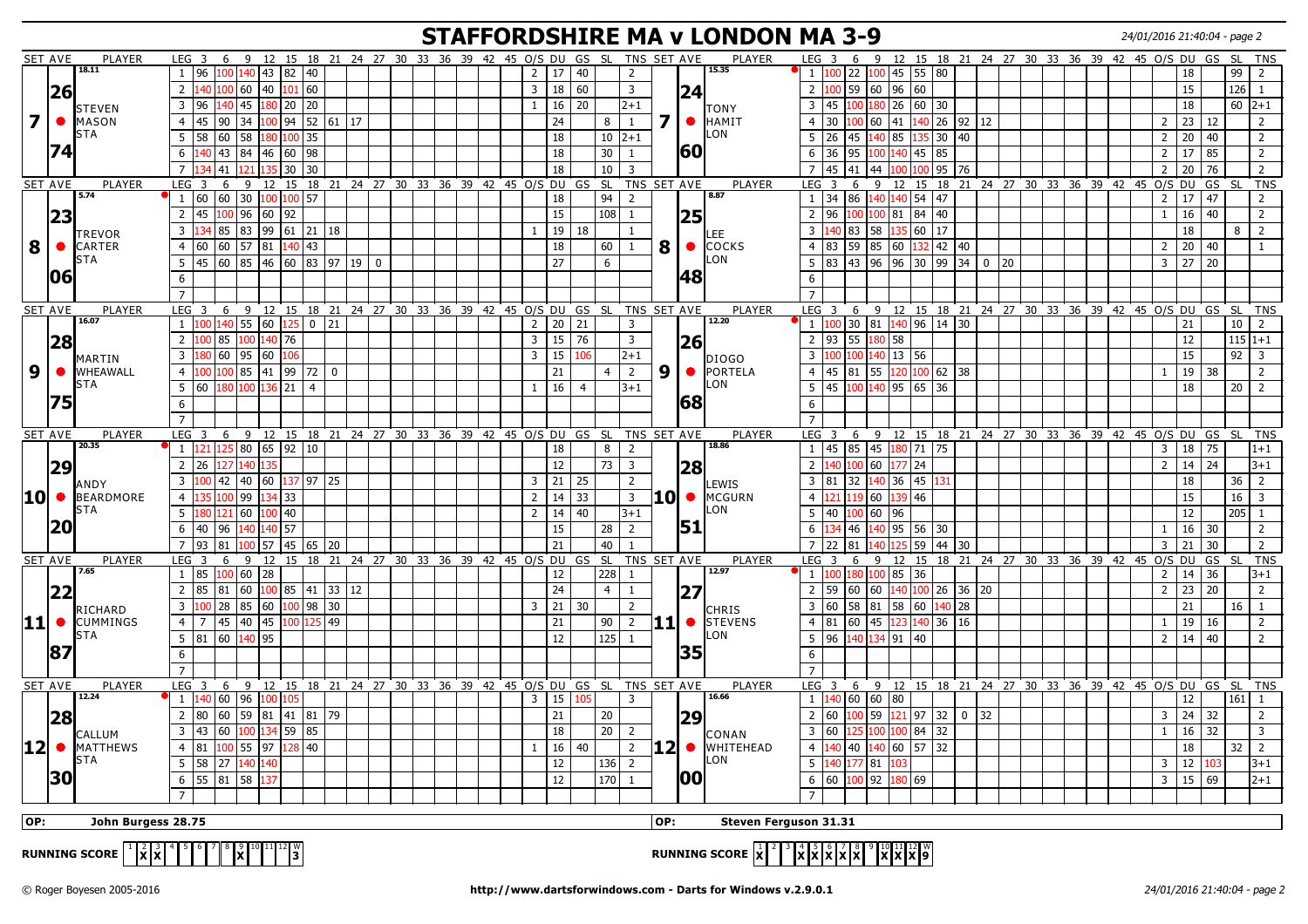## **STAFFORDSHIRE MA v LONDON MA 3-9** 24/01/2016 21:40:04 - page 2

|                         | SET AVE        | PLAYER                                                                                                                                                                                                                                                                                                                                                                                                                                                                                                                                                                                                                                                                                                                                                                                                                                                                                                                                                                                                               | LEG <sub>3</sub>                                                                                                                                                                                                                                                                |                         | 6        |                                      |          |                    |             |  | 9 12 15 18 21 24 27 30 33 36 39 42 45 O/S DU GS SL TNS SET AVE   |  |  |  |  |  |                |                     |                  |                 |           |                |                         |              | PLAYER                    | LEG <sub>3</sub> | 6         |              |                                         |                |              |             |           |                         |  | 9 12 15 18 21 24 27 30 33 36 39 42 45 O/S DU GS SL TNS |                |              |     |              |                |
|-------------------------|----------------|----------------------------------------------------------------------------------------------------------------------------------------------------------------------------------------------------------------------------------------------------------------------------------------------------------------------------------------------------------------------------------------------------------------------------------------------------------------------------------------------------------------------------------------------------------------------------------------------------------------------------------------------------------------------------------------------------------------------------------------------------------------------------------------------------------------------------------------------------------------------------------------------------------------------------------------------------------------------------------------------------------------------|---------------------------------------------------------------------------------------------------------------------------------------------------------------------------------------------------------------------------------------------------------------------------------|-------------------------|----------|--------------------------------------|----------|--------------------|-------------|--|------------------------------------------------------------------|--|--|--|--|--|----------------|---------------------|------------------|-----------------|-----------|----------------|-------------------------|--------------|---------------------------|------------------|-----------|--------------|-----------------------------------------|----------------|--------------|-------------|-----------|-------------------------|--|--------------------------------------------------------|----------------|--------------|-----|--------------|----------------|
|                         |                | 18.11                                                                                                                                                                                                                                                                                                                                                                                                                                                                                                                                                                                                                                                                                                                                                                                                                                                                                                                                                                                                                | 1                                                                                                                                                                                                                                                                               | 96                      |          | 100 140 43 82 40                     |          |                    |             |  |                                                                  |  |  |  |  |  | $2^{\circ}$    | 17                  | 40               |                 |           | 2              |                         |              | 15.35                     | $\mathbf{1}$     | 100<br>22 | 100          | 45 55 80                                |                |              |             |           |                         |  |                                                        |                | 18           |     | 99           | $\overline{2}$ |
|                         | 26             |                                                                                                                                                                                                                                                                                                                                                                                                                                                                                                                                                                                                                                                                                                                                                                                                                                                                                                                                                                                                                      | 2                                                                                                                                                                                                                                                                               | 140 100 60              |          |                                      |          | 40 101 60          |             |  |                                                                  |  |  |  |  |  |                | 3   18   60         |                  |                 |           | $\overline{3}$ |                         | 24           |                           | 2 <sup>1</sup>   | 100       | 59 60        | 96 60                                   |                |              |             |           |                         |  |                                                        |                | 15           |     | 126   1      |                |
|                         |                |                                                                                                                                                                                                                                                                                                                                                                                                                                                                                                                                                                                                                                                                                                                                                                                                                                                                                                                                                                                                                      | 3 <sup>1</sup>                                                                                                                                                                                                                                                                  | 96                      | $140$ 45 |                                      |          | 180   20   20      |             |  |                                                                  |  |  |  |  |  | 1              | $\vert$ 16          | 20               |                 |           | $2+1$          |                         |              |                           | 3 45             |           | 100   180    | 26 60 30                                |                |              |             |           |                         |  |                                                        |                | 18           |     | $60$   $2+1$ |                |
| $\overline{\mathbf{z}}$ | $\bullet$      | <b>STEVEN</b><br>MASON                                                                                                                                                                                                                                                                                                                                                                                                                                                                                                                                                                                                                                                                                                                                                                                                                                                                                                                                                                                               | $\overline{4}$                                                                                                                                                                                                                                                                  | 45                      | 90       | 34                                   |          | 100 94 52 61 17    |             |  |                                                                  |  |  |  |  |  |                | 24                  |                  | 8               |           | <sup>1</sup>   | $\overline{\mathbf{z}}$ | $\bullet$    | <b>TONY</b><br>HAMIT      | $\overline{4}$   | 30        | 100   60     | 41                                      |                | 140 26 92 12 |             |           |                         |  |                                                        | $\overline{2}$ | $23 \mid 12$ |     |              | $\overline{2}$ |
|                         |                | STA                                                                                                                                                                                                                                                                                                                                                                                                                                                                                                                                                                                                                                                                                                                                                                                                                                                                                                                                                                                                                  | 5                                                                                                                                                                                                                                                                               |                         |          |                                      |          |                    |             |  |                                                                  |  |  |  |  |  |                |                     |                  |                 |           |                |                         |              | LON                       | 5                | 26        | 140          |                                         |                |              |             |           |                         |  |                                                        |                |              |     |              |                |
|                         | 74             |                                                                                                                                                                                                                                                                                                                                                                                                                                                                                                                                                                                                                                                                                                                                                                                                                                                                                                                                                                                                                      |                                                                                                                                                                                                                                                                                 | 58                      | 60       | 58                                   |          | 80 100 35          |             |  |                                                                  |  |  |  |  |  |                | 18                  |                  |                 | $10 2+1$  |                |                         | <b>60</b>    |                           |                  | 45        |              | 85                                      | 35 30          | $ 40\rangle$ |             |           |                         |  |                                                        | $\overline{2}$ | 20           | 40  |              | $\overline{2}$ |
|                         |                |                                                                                                                                                                                                                                                                                                                                                                                                                                                                                                                                                                                                                                                                                                                                                                                                                                                                                                                                                                                                                      | 6                                                                                                                                                                                                                                                                               |                         |          | 140   43   84   46   60   98         |          |                    |             |  |                                                                  |  |  |  |  |  |                | 18                  |                  | 30              |           | $\mathbf{1}$   |                         |              |                           | 6                | 36<br>95  | 100          | 140 45 85                               |                |              |             |           |                         |  |                                                        | $\overline{2}$ | 17           | 85  |              | $\overline{2}$ |
|                         |                |                                                                                                                                                                                                                                                                                                                                                                                                                                                                                                                                                                                                                                                                                                                                                                                                                                                                                                                                                                                                                      | $\overline{7}$                                                                                                                                                                                                                                                                  |                         | 41       |                                      |          | 30 30              |             |  |                                                                  |  |  |  |  |  |                | 18                  |                  | 10              |           | $\overline{3}$ |                         |              |                           | $\overline{7}$   | 45<br>41  | 44           |                                         | 00 95 76       |              |             |           |                         |  |                                                        | $\overline{2}$ | 20           | 76  |              | $\overline{2}$ |
|                         | SET AVE        | PLAYER                                                                                                                                                                                                                                                                                                                                                                                                                                                                                                                                                                                                                                                                                                                                                                                                                                                                                                                                                                                                               | LEG                                                                                                                                                                                                                                                                             | $\overline{\mathbf{3}}$ | 6        | 9                                    |          |                    |             |  | 12 15 18 21 24 27 30 33 36 39 42 45 0/S DU GS SL                 |  |  |  |  |  |                |                     |                  |                 |           | TNS SET AVE    |                         |              | <b>PLAYER</b>             | LEG              | 6<br>-3   | 9            | 12                                      |                |              |             |           |                         |  | 15 18 21 24 27 30 33 36 39 42 45 0/S DU                |                |              | GS  | <b>SL</b>    | <b>TNS</b>     |
|                         |                | 5.74                                                                                                                                                                                                                                                                                                                                                                                                                                                                                                                                                                                                                                                                                                                                                                                                                                                                                                                                                                                                                 |                                                                                                                                                                                                                                                                                 | 1 60 60 30              |          |                                      |          | 100 100 57         |             |  |                                                                  |  |  |  |  |  |                | 18                  |                  |                 | $94$ 2    |                |                         |              | 8.87                      | $1\phantom{0}$   | 34        | 86 140       | 140 54 47                               |                |              |             |           |                         |  |                                                        | $\overline{2}$ | $\vert$ 17   | 47  |              | $\overline{2}$ |
|                         | 23             |                                                                                                                                                                                                                                                                                                                                                                                                                                                                                                                                                                                                                                                                                                                                                                                                                                                                                                                                                                                                                      | $\overline{2}$                                                                                                                                                                                                                                                                  | 45                      | LOO 96   |                                      | 60  92   |                    |             |  |                                                                  |  |  |  |  |  |                | 15                  |                  |                 | $108$ 1   |                |                         | 25           |                           | $\overline{2}$   | 96        | 100   100    | 81 84 40                                |                |              |             |           |                         |  |                                                        | $\mathbf{1}$   | 16           | 40  |              | $\overline{2}$ |
|                         |                | <b>TREVOR</b>                                                                                                                                                                                                                                                                                                                                                                                                                                                                                                                                                                                                                                                                                                                                                                                                                                                                                                                                                                                                        | $\overline{3}$                                                                                                                                                                                                                                                                  |                         |          | 85 83 99 61 21 18                    |          |                    |             |  |                                                                  |  |  |  |  |  | $\mathbf{1}$   |                     | 19   18          |                 |           | $\mathbf{1}$   |                         |              | .EE                       | 3                | 83        | 58           | 135                                     | $60$   17      |              |             |           |                         |  |                                                        |                | 18           |     | 8            | 2              |
| 8                       |                | CARTER                                                                                                                                                                                                                                                                                                                                                                                                                                                                                                                                                                                                                                                                                                                                                                                                                                                                                                                                                                                                               | $\overline{4}$                                                                                                                                                                                                                                                                  | 60                      | 60 57    |                                      |          | 81 140 43          |             |  |                                                                  |  |  |  |  |  |                | $\overline{18}$     |                  | 60              |           | 1              | 8                       | $\bullet$    | <b>COCKS</b>              | 4                | 59<br>83  | 85           | 60                                      | 132   42       | $ 40\rangle$ |             |           |                         |  |                                                        | $\overline{2}$ | 20           | 40  |              | -1             |
|                         |                | <b>STA</b>                                                                                                                                                                                                                                                                                                                                                                                                                                                                                                                                                                                                                                                                                                                                                                                                                                                                                                                                                                                                           | 5 <sup>5</sup>                                                                                                                                                                                                                                                                  | 45                      | 60 85    |                                      |          | 46  60  83  97  19 |             |  | $\overline{0}$                                                   |  |  |  |  |  |                | 27                  |                  | 6               |           |                |                         |              | LON                       | 5                | 83        | 43   96      | 96                                      | 30 99          | 34           | $\mathbf 0$ | 20        |                         |  |                                                        | 3              | 27           | 20  |              |                |
|                         | 106            |                                                                                                                                                                                                                                                                                                                                                                                                                                                                                                                                                                                                                                                                                                                                                                                                                                                                                                                                                                                                                      | 6                                                                                                                                                                                                                                                                               |                         |          |                                      |          |                    |             |  |                                                                  |  |  |  |  |  |                |                     |                  |                 |           |                |                         | 48           |                           | 6                |           |              |                                         |                |              |             |           |                         |  |                                                        |                |              |     |              |                |
|                         |                |                                                                                                                                                                                                                                                                                                                                                                                                                                                                                                                                                                                                                                                                                                                                                                                                                                                                                                                                                                                                                      |                                                                                                                                                                                                                                                                                 |                         |          |                                      |          |                    |             |  |                                                                  |  |  |  |  |  |                |                     |                  |                 |           |                |                         |              |                           |                  |           |              |                                         |                |              |             |           |                         |  |                                                        |                |              |     |              |                |
|                         | SET AVE        | PLAYER                                                                                                                                                                                                                                                                                                                                                                                                                                                                                                                                                                                                                                                                                                                                                                                                                                                                                                                                                                                                               | LEG <sub>3</sub>                                                                                                                                                                                                                                                                |                         | 6        | - 9                                  |          |                    |             |  | 12 15 18 21 24 27 30 33 36 39 42 45 0/S DU GS SL                 |  |  |  |  |  |                |                     |                  |                 |           | TNS SET AVE    |                         |              | PLAYER                    | LEG <sub>3</sub> | 6         | 9            |                                         |                |              |             |           |                         |  | 12 15 18 21 24 27 30 33 36 39 42 45 0/S DU GS          |                |              |     | SL SL        | TNS            |
|                         |                | 16.07                                                                                                                                                                                                                                                                                                                                                                                                                                                                                                                                                                                                                                                                                                                                                                                                                                                                                                                                                                                                                | 1                                                                                                                                                                                                                                                                               |                         |          | 100 140 55 60 125                    |          |                    | $0 \mid 21$ |  |                                                                  |  |  |  |  |  |                | $2 \mid 20 \mid 21$ |                  |                 |           | 3              |                         |              | 12.20                     | $1\vert$         | 100       | 30 81        | 140 96 14 30                            |                |              |             |           |                         |  |                                                        |                | 21           |     | 10           | $\overline{2}$ |
|                         | 28             |                                                                                                                                                                                                                                                                                                                                                                                                                                                                                                                                                                                                                                                                                                                                                                                                                                                                                                                                                                                                                      | 2                                                                                                                                                                                                                                                                               |                         | 85       | 100                                  | 140   76 |                    |             |  |                                                                  |  |  |  |  |  | $\overline{3}$ | 15                  | 76               |                 |           | $\mathbf{3}$   |                         | 26           |                           | $2 \mid 93$      | 55        | 180          | 58                                      |                |              |             |           |                         |  |                                                        |                | 12           |     | $115 1+1$    |                |
|                         |                |                                                                                                                                                                                                                                                                                                                                                                                                                                                                                                                                                                                                                                                                                                                                                                                                                                                                                                                                                                                                                      | $\overline{3}$                                                                                                                                                                                                                                                                  |                         | 60       | 95                                   | 60 106   |                    |             |  |                                                                  |  |  |  |  |  | $\overline{3}$ | 15                  | 106              |                 |           | $2+1$          |                         |              |                           | $\overline{3}$   | 100       |              | 100 140 13 56                           |                |              |             |           |                         |  |                                                        |                | 15           |     | 92           | $\overline{3}$ |
| 9 <sup>°</sup>          |                | MARTIN<br>WHEAWALL                                                                                                                                                                                                                                                                                                                                                                                                                                                                                                                                                                                                                                                                                                                                                                                                                                                                                                                                                                                                   | $\overline{4}$                                                                                                                                                                                                                                                                  |                         | 00 85    |                                      |          | 41  99  72   0     |             |  |                                                                  |  |  |  |  |  |                | 21                  |                  | $\overline{4}$  |           | $\overline{2}$ | 9                       |              | <b>DIOGO</b><br>• PORTELA | $\overline{4}$   | 45<br>81  | 55           | 120                                     | 100 62 38      |              |             |           |                         |  |                                                        | 1              | 19           | 38  |              | 2              |
|                         |                | <b>STA</b>                                                                                                                                                                                                                                                                                                                                                                                                                                                                                                                                                                                                                                                                                                                                                                                                                                                                                                                                                                                                           | 5                                                                                                                                                                                                                                                                               | 60                      | .80      |                                      | 21       | $\overline{4}$     |             |  |                                                                  |  |  |  |  |  | 1              | $\vert$ 16          | $\overline{4}$   |                 |           | $3 + 1$        |                         |              | LON                       | 5                | 45        | L40          | 95                                      | 65 36          |              |             |           |                         |  |                                                        |                | 18           |     | 20           | $\overline{2}$ |
|                         | 75             |                                                                                                                                                                                                                                                                                                                                                                                                                                                                                                                                                                                                                                                                                                                                                                                                                                                                                                                                                                                                                      |                                                                                                                                                                                                                                                                                 |                         |          |                                      |          |                    |             |  |                                                                  |  |  |  |  |  |                |                     |                  |                 |           |                |                         | 68           |                           |                  |           |              |                                         |                |              |             |           |                         |  |                                                        |                |              |     |              |                |
|                         |                |                                                                                                                                                                                                                                                                                                                                                                                                                                                                                                                                                                                                                                                                                                                                                                                                                                                                                                                                                                                                                      | 6                                                                                                                                                                                                                                                                               |                         |          |                                      |          |                    |             |  |                                                                  |  |  |  |  |  |                |                     |                  |                 |           |                |                         |              |                           | 6                |           |              |                                         |                |              |             |           |                         |  |                                                        |                |              |     |              |                |
|                         |                | $\overline{7}$<br>$\overline{7}$<br>PLAYER<br>TNS SET AVE<br>PLAYER<br>SET AVE<br>LEG<br>6 9 12 15 18 21 24 27 30 33 36 39 42 45 O/S DU GS SL<br>LEG <sub>3</sub><br>- 9<br>12 15 18 21 24 27 30 33 36 39 42 45 0/S DU<br>$\overline{\mathbf{3}}$<br>6<br>20.35<br>18.86<br>$1 \vert 121 \vert 125 \vert 80 \vert 65 \vert 92 \vert 10$<br>85 45<br>180 71 75<br>18<br>8 <sup>1</sup><br>$\overline{2}$<br>$1 \vert 45$<br>12<br>73<br>$\overline{2}$<br>26<br>$\overline{3}$<br>$\overline{2}$<br>60<br>24<br>27 140<br> 28 <br>77<br> 42  40  60   <mark>137</mark>  97  25<br>$3 \mid 21 \mid$<br>$\overline{2}$<br>36 45 131<br>$\overline{3}$<br>  25<br>$\overline{3}$<br>81<br>32 140<br>LEWIS<br>ANDY<br>10 MCGURN<br>10 BEARDMORE<br>33<br>46<br>$\overline{4}$<br>99<br>134 33<br>$2^{\circ}$<br> 14<br>$\overline{3}$<br>$\overline{4}$<br>119 60<br>00 <sup>1</sup><br>121<br>STA<br>_ON<br>5<br>40<br>5 <sup>1</sup><br>121 60<br>100 40<br>14<br>$3 + 1$<br>40<br>100 60<br>$2^{\circ}$<br>96<br>180 I |                                                                                                                                                                                                                                                                                 |                         |          |                                      |          |                    |             |  |                                                                  |  |  |  |  |  |                |                     |                  | GS              | <b>SL</b> | <b>TNS</b>     |                         |              |                           |                  |           |              |                                         |                |              |             |           |                         |  |                                                        |                |              |     |              |                |
|                         |                | 51<br>140 57<br>15<br>2<br>95 56 30<br>6<br>40<br>96<br>28<br>6<br>46<br>140<br>34<br>140                                                                                                                                                                                                                                                                                                                                                                                                                                                                                                                                                                                                                                                                                                                                                                                                                                                                                                                            |                                                                                                                                                                                                                                                                                 |                         |          |                                      |          |                    |             |  |                                                                  |  |  |  |  |  |                |                     | $\overline{3}$   | $18$ 75         |           |                | $1+1$                   |              |                           |                  |           |              |                                         |                |              |             |           |                         |  |                                                        |                |              |     |              |                |
|                         |                |                                                                                                                                                                                                                                                                                                                                                                                                                                                                                                                                                                                                                                                                                                                                                                                                                                                                                                                                                                                                                      | 21<br>40<br>$\overline{7}$<br>93<br>57<br> 45 65 20<br>81<br>$\overline{1}$                                                                                                                                                                                                     |                         |          |                                      |          |                    |             |  |                                                                  |  |  |  |  |  |                |                     |                  |                 |           |                |                         |              |                           |                  |           |              |                                         | $\overline{2}$ | 14           | 24          |           | 3+1                     |  |                                                        |                |              |     |              |                |
|                         | 29             |                                                                                                                                                                                                                                                                                                                                                                                                                                                                                                                                                                                                                                                                                                                                                                                                                                                                                                                                                                                                                      |                                                                                                                                                                                                                                                                                 |                         |          |                                      |          |                    |             |  |                                                                  |  |  |  |  |  |                |                     |                  |                 |           |                |                         |              |                           |                  |           |              |                                         |                |              |             |           |                         |  |                                                        |                |              |     |              |                |
|                         |                |                                                                                                                                                                                                                                                                                                                                                                                                                                                                                                                                                                                                                                                                                                                                                                                                                                                                                                                                                                                                                      | GS SL<br>TNS SET AVE<br>LEG<br>15 18 21<br>24 27 30 33 36 39 42 45 O/S DU<br>$\overline{\mathbf{3}}$<br>6<br>9<br>12<br>$228$ 1<br>$1 \mid 85$<br>100 60 28<br>12<br>24<br>$\overline{2}$<br>85<br>81<br>60<br>$\overline{100}$ 85 41 33 12<br>4 <sup>1</sup><br>$\overline{1}$ |                         |          |                                      |          |                    |             |  |                                                                  |  |  |  |  |  |                |                     |                  |                 |           |                |                         |              |                           |                  |           |              |                                         |                | 18           |             | 36        | $\overline{2}$          |  |                                                        |                |              |     |              |                |
|                         |                |                                                                                                                                                                                                                                                                                                                                                                                                                                                                                                                                                                                                                                                                                                                                                                                                                                                                                                                                                                                                                      | 27                                                                                                                                                                                                                                                                              |                         |          |                                      |          |                    |             |  |                                                                  |  |  |  |  |  |                |                     |                  |                 |           |                |                         |              |                           |                  |           |              |                                         |                | 15           |             | 16        | $\overline{\mathbf{3}}$ |  |                                                        |                |              |     |              |                |
|                         |                |                                                                                                                                                                                                                                                                                                                                                                                                                                                                                                                                                                                                                                                                                                                                                                                                                                                                                                                                                                                                                      | 100 28 85 60 100 98 30<br>3   21   30<br>$\overline{3}$<br>2                                                                                                                                                                                                                    |                         |          |                                      |          |                    |             |  |                                                                  |  |  |  |  |  |                |                     |                  |                 |           |                |                         |              |                           |                  |           |              |                                         | 12             |              | 205         | 1         |                         |  |                                                        |                |              |     |              |                |
|                         | 20             |                                                                                                                                                                                                                                                                                                                                                                                                                                                                                                                                                                                                                                                                                                                                                                                                                                                                                                                                                                                                                      |                                                                                                                                                                                                                                                                                 |                         |          |                                      |          |                    |             |  |                                                                  |  |  |  |  |  |                |                     |                  |                 |           |                |                         |              |                           |                  |           |              |                                         |                |              |             |           |                         |  |                                                        | 1              | 16           | 30  |              | $\overline{2}$ |
|                         |                |                                                                                                                                                                                                                                                                                                                                                                                                                                                                                                                                                                                                                                                                                                                                                                                                                                                                                                                                                                                                                      |                                                                                                                                                                                                                                                                                 |                         |          |                                      |          |                    |             |  |                                                                  |  |  |  |  |  |                |                     | $\overline{7}$   | 22<br>81        |           |                | 59<br> 44               | 30           |                           |                  |           |              |                                         | 3              | 21           | 30          |           | $\overline{2}$          |  |                                                        |                |              |     |              |                |
|                         | <b>SET AVE</b> | 7.65                                                                                                                                                                                                                                                                                                                                                                                                                                                                                                                                                                                                                                                                                                                                                                                                                                                                                                                                                                                                                 | 12.97                                                                                                                                                                                                                                                                           |                         |          |                                      |          |                    |             |  |                                                                  |  |  |  |  |  |                | PLAYER              | LEG <sub>3</sub> | 6               | 9         | 12             |                         |              |                           |                  |           |              | 15 18 21 24 27 30 33 36 39 42 45 0/S DU |                |              | GS          | <b>SL</b> | <b>TNS</b>              |  |                                                        |                |              |     |              |                |
|                         |                |                                                                                                                                                                                                                                                                                                                                                                                                                                                                                                                                                                                                                                                                                                                                                                                                                                                                                                                                                                                                                      | PLAYER                                                                                                                                                                                                                                                                          |                         |          |                                      |          |                    |             |  |                                                                  |  |  |  |  |  |                |                     | 1                | 100             | 180   100 | 85 36          |                         |              |                           |                  |           |              |                                         | $\overline{2}$ | 14 36        |             |           | $3+1$                   |  |                                                        |                |              |     |              |                |
|                         | 22             |                                                                                                                                                                                                                                                                                                                                                                                                                                                                                                                                                                                                                                                                                                                                                                                                                                                                                                                                                                                                                      | 45 40 45 100 125 49<br><b>11 •</b><br>21<br>$90 \mid 2$                                                                                                                                                                                                                         |                         |          |                                      |          |                    |             |  |                                                                  |  |  |  |  |  |                |                     | $2 \mid 59$      |                 | 60   60   | 140            |                         | 100 26 36 20 |                           |                  |           |              |                                         | $\overline{2}$ | 23           | 20          |           | $\overline{2}$          |  |                                                        |                |              |     |              |                |
|                         |                | RICHARD                                                                                                                                                                                                                                                                                                                                                                                                                                                                                                                                                                                                                                                                                                                                                                                                                                                                                                                                                                                                              |                                                                                                                                                                                                                                                                                 |                         |          |                                      |          |                    |             |  |                                                                  |  |  |  |  |  |                |                     |                  |                 |           |                |                         |              | <b>CHRIS</b>              | $3 \mid 60$      |           | 58 81        | 58 60 140 28                            |                |              |             |           |                         |  |                                                        |                | 21           |     | 16           | $\overline{1}$ |
|                         |                | $ 11 $ $\bullet$ CUMMINGS                                                                                                                                                                                                                                                                                                                                                                                                                                                                                                                                                                                                                                                                                                                                                                                                                                                                                                                                                                                            | $\overline{4}$                                                                                                                                                                                                                                                                  | $\overline{7}$          |          |                                      |          |                    |             |  |                                                                  |  |  |  |  |  |                |                     |                  |                 |           |                |                         |              | STEVENS                   | $4 \mid 81$      |           | $60 \mid 45$ | 123                                     | 140 36 16      |              |             |           |                         |  |                                                        | $\overline{1}$ | 19           | 16  |              | 2              |
|                         |                | STA                                                                                                                                                                                                                                                                                                                                                                                                                                                                                                                                                                                                                                                                                                                                                                                                                                                                                                                                                                                                                  |                                                                                                                                                                                                                                                                                 |                         |          | $5 \mid 81 \mid 60 \mid 140 \mid 95$ |          |                    |             |  |                                                                  |  |  |  |  |  |                | 12                  |                  | 125             |           | $\mathbf{1}$   |                         |              | LON                       | $5 \mid 96$      |           | 140   134    | 91 40                                   |                |              |             |           |                         |  |                                                        | $\overline{2}$ | 14           | 40  |              | $\overline{2}$ |
|                         | 87             |                                                                                                                                                                                                                                                                                                                                                                                                                                                                                                                                                                                                                                                                                                                                                                                                                                                                                                                                                                                                                      | 6                                                                                                                                                                                                                                                                               |                         |          |                                      |          |                    |             |  |                                                                  |  |  |  |  |  |                |                     |                  |                 |           |                |                         | 35           |                           | 6                |           |              |                                         |                |              |             |           |                         |  |                                                        |                |              |     |              |                |
|                         |                |                                                                                                                                                                                                                                                                                                                                                                                                                                                                                                                                                                                                                                                                                                                                                                                                                                                                                                                                                                                                                      | $\overline{7}$                                                                                                                                                                                                                                                                  |                         |          |                                      |          |                    |             |  |                                                                  |  |  |  |  |  |                |                     |                  |                 |           |                |                         |              |                           | $\overline{7}$   |           |              |                                         |                |              |             |           |                         |  |                                                        |                |              |     |              |                |
|                         | <b>SET AVE</b> | PLAYER                                                                                                                                                                                                                                                                                                                                                                                                                                                                                                                                                                                                                                                                                                                                                                                                                                                                                                                                                                                                               | LEG <sub>3</sub>                                                                                                                                                                                                                                                                |                         |          |                                      |          |                    |             |  | 6 9 12 15 18 21 24 27 30 33 36 39 42 45 0/S DU GS SL TNS SET AVE |  |  |  |  |  |                |                     |                  |                 |           |                |                         |              | PLAYER                    | LEG <sub>3</sub> |           |              |                                         |                |              |             |           |                         |  | 6 9 12 15 18 21 24 27 30 33 36 39 42 45 0/S DU GS      |                |              |     | <b>SL</b>    | <b>TNS</b>     |
|                         |                | 12.24                                                                                                                                                                                                                                                                                                                                                                                                                                                                                                                                                                                                                                                                                                                                                                                                                                                                                                                                                                                                                | 1                                                                                                                                                                                                                                                                               | 140 60 96               |          |                                      | 100 105  |                    |             |  |                                                                  |  |  |  |  |  |                | $3 \mid 15$         |                  | 105             |           | $\overline{3}$ |                         |              | 16.66                     | 1 140            |           | 60 60        | 80                                      |                |              |             |           |                         |  |                                                        |                | 12           |     | $161$   1    |                |
|                         | 28             |                                                                                                                                                                                                                                                                                                                                                                                                                                                                                                                                                                                                                                                                                                                                                                                                                                                                                                                                                                                                                      | 2 <sup>1</sup>                                                                                                                                                                                                                                                                  | 80                      |          | 60   59   81   41   81   79          |          |                    |             |  |                                                                  |  |  |  |  |  |                | 21                  |                  | 20              |           |                |                         | 29           |                           | $\overline{2}$   | 60<br>100 | 59           | $121$ 97 32                             |                |              |             |           |                         |  |                                                        | 3              | 24           | 32  |              | $\overline{2}$ |
|                         |                | CALLUM                                                                                                                                                                                                                                                                                                                                                                                                                                                                                                                                                                                                                                                                                                                                                                                                                                                                                                                                                                                                               | $\overline{3}$                                                                                                                                                                                                                                                                  | 43                      | 60       | 100                                  | 134 59   | 85                 |             |  |                                                                  |  |  |  |  |  |                | 18                  |                  | 20 <sup>1</sup> |           | $\overline{2}$ |                         |              | CONAN                     | $\overline{3}$   | 60        | .25 100      | 100                                     | 84 32          |              |             |           |                         |  |                                                        | $\mathbf{1}$   | 16           | 32  |              | $\overline{3}$ |
|                         |                | $ 12 $ $\bullet$ MATTHEWS                                                                                                                                                                                                                                                                                                                                                                                                                                                                                                                                                                                                                                                                                                                                                                                                                                                                                                                                                                                            | $\overline{4}$                                                                                                                                                                                                                                                                  | 81                      | $100$ 55 |                                      | 97       | 40<br>28           |             |  |                                                                  |  |  |  |  |  | $\mathbf{1}$   | 16                  | 40               |                 |           | $\overline{2}$ |                         | 12  ●        | <b>WHITEHEAD</b>          | $\overline{4}$   | 40        | 140          | 60 57 32                                |                |              |             |           |                         |  |                                                        |                | 18           |     | 32           | $\overline{2}$ |
|                         |                | <b>STA</b>                                                                                                                                                                                                                                                                                                                                                                                                                                                                                                                                                                                                                                                                                                                                                                                                                                                                                                                                                                                                           | 5                                                                                                                                                                                                                                                                               | 58 27 140               |          |                                      | 140      |                    |             |  |                                                                  |  |  |  |  |  |                | 12                  |                  |                 | $136$ 2   |                |                         |              | ILON.                     | 5 <sup>5</sup>   | l40       | 177 81       | 03                                      |                |              |             |           |                         |  |                                                        | 3              | 12           | 103 |              | $ 3+1 $        |
|                         | 30             |                                                                                                                                                                                                                                                                                                                                                                                                                                                                                                                                                                                                                                                                                                                                                                                                                                                                                                                                                                                                                      |                                                                                                                                                                                                                                                                                 | $6$ 55 81 58            |          | 137                                  |          |                    |             |  |                                                                  |  |  |  |  |  |                | $12\,$              |                  |                 | $170$ 1   |                |                         | <b>00</b>    |                           | 6 60             |           | $100$   92   | 180 69                                  |                |              |             |           |                         |  |                                                        | 3              | 15 69        |     |              | $ 2+1 $        |
|                         |                |                                                                                                                                                                                                                                                                                                                                                                                                                                                                                                                                                                                                                                                                                                                                                                                                                                                                                                                                                                                                                      | $\overline{7}$                                                                                                                                                                                                                                                                  |                         |          |                                      |          |                    |             |  |                                                                  |  |  |  |  |  |                |                     |                  |                 |           |                |                         |              |                           |                  |           |              |                                         |                |              |             |           |                         |  |                                                        |                |              |     |              |                |
|                         |                |                                                                                                                                                                                                                                                                                                                                                                                                                                                                                                                                                                                                                                                                                                                                                                                                                                                                                                                                                                                                                      |                                                                                                                                                                                                                                                                                 |                         |          |                                      |          |                    |             |  |                                                                  |  |  |  |  |  |                |                     |                  |                 |           |                |                         |              |                           |                  |           |              |                                         |                |              |             |           |                         |  |                                                        |                |              |     |              |                |
| OP:                     |                | John Burgess 28.75                                                                                                                                                                                                                                                                                                                                                                                                                                                                                                                                                                                                                                                                                                                                                                                                                                                                                                                                                                                                   |                                                                                                                                                                                                                                                                                 |                         |          |                                      |          |                    |             |  |                                                                  |  |  |  |  |  |                |                     |                  |                 |           |                | OP:                     |              | Steven Ferguson 31.31     |                  |           |              |                                         |                |              |             |           |                         |  |                                                        |                |              |     |              |                |
|                         |                |                                                                                                                                                                                                                                                                                                                                                                                                                                                                                                                                                                                                                                                                                                                                                                                                                                                                                                                                                                                                                      |                                                                                                                                                                                                                                                                                 |                         |          |                                      |          |                    |             |  |                                                                  |  |  |  |  |  |                |                     |                  |                 |           |                |                         |              |                           |                  |           |              |                                         |                |              |             |           |                         |  |                                                        |                |              |     |              |                |

**RUNNING SCORE**  $\begin{bmatrix} 1 & 2 & 3 \\ 1 & \mathbf{X} & \mathbf{X} \end{bmatrix}$ <sup>4</sup>  $\begin{bmatrix} 5 & 6 & 7 \\ 1 & 2 & 8 \end{bmatrix}$   $\begin{bmatrix} 8 & 10 & 11 & 12 \\ 1 & 0 & 11 & 12 \end{bmatrix}$ **X RUNNING SCORE**  $\frac{1}{2} \begin{bmatrix} 2 \\ 3 \end{bmatrix}^3 \begin{bmatrix} 3 \\ 2 \end{bmatrix}^3 \begin{bmatrix} 2 \\ 3 \end{bmatrix} \begin{bmatrix} 3 \\ 2 \end{bmatrix} \begin{bmatrix} 3 \\ 2 \end{bmatrix} \begin{bmatrix} 3 \\ 2 \end{bmatrix} \begin{bmatrix} 0 \\ 2 \end{bmatrix} \begin{bmatrix} 10 \\ 2 \end{bmatrix} \begin{bmatrix} 11 \\ 2 \end{bmatrix} \begin{bmatrix} 2 \\ 8 \end{bmatrix} \begin{bmatrix} 9 \\ 2 \end{bmatrix} \$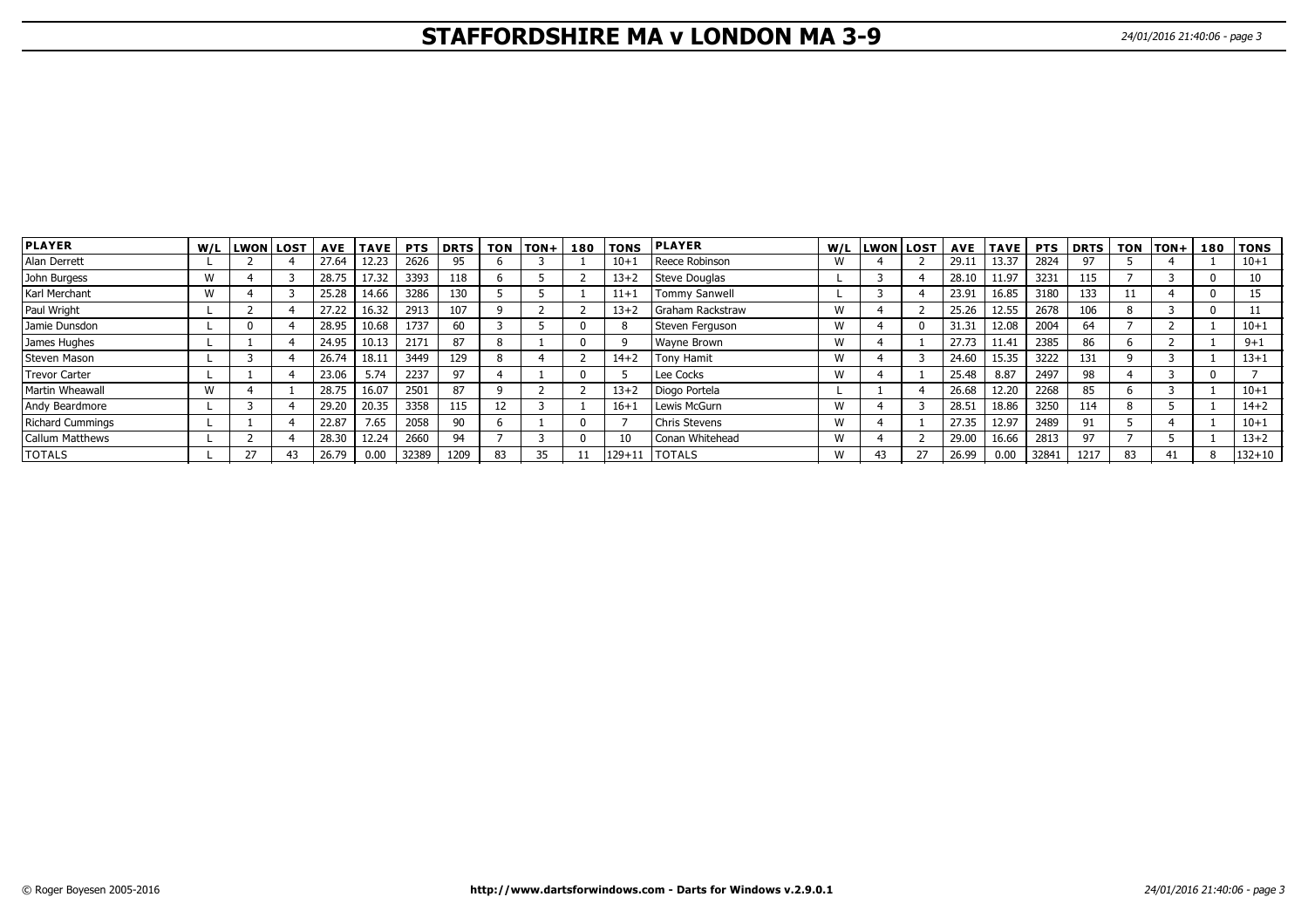# **STAFFORDSHIRE MA v LONDON MA 3-9** 24/01/2016 21:40:06 - page 3

| <b>PLAYER</b>           |   | W/L LWON LOST | <b>AVE</b> | <b>TAVE</b> | <b>PTS</b> | <b>DRTS</b> | <b>TON</b> | $TON +$ | 180 | <b>TONS</b> | <b>IPLAYER</b>       |   | W/L LWON LOST |    |       | AVE  TAVE | <b>PTS</b> | <b>DRTS</b> |    | TON TON+ | 180 | <b>TONS</b> |
|-------------------------|---|---------------|------------|-------------|------------|-------------|------------|---------|-----|-------------|----------------------|---|---------------|----|-------|-----------|------------|-------------|----|----------|-----|-------------|
| Alan Derrett            |   |               | 27.64      | 12.23       | 2626       | 95          |            |         |     | $10+$       | Reece Robinson       | w |               |    | 29.11 | 13.37     | 2824       | 97          |    |          |     | $10 + 1$    |
| John Burgess            | W |               | 28.75      | 17.32       | 3393       | 118         |            |         |     | $13 + 2$    | Steve Douglas        |   |               |    | 28.10 | 11.97     | 3231       | 115         |    |          |     |             |
| Karl Merchant           | W |               | 25.28      | 14.66       | 3286       | 130         |            |         |     | $11+$       | <b>Tommy Sanwell</b> |   |               |    | 23.91 | 16.85     | 3180       | 133         |    |          |     | 15          |
| Paul Wright             |   |               | 27.22      | 16.32       | 2913       | 107         |            |         |     | $13+2$      | Graham Rackstraw     | W |               |    | 25.26 | 12.55     | 2678       | 106         |    |          |     |             |
| Jamie Dunsdon           |   |               | 28.95      | 10.68       | 1737       | 60          |            |         |     |             | Steven Ferguson      | W |               |    | 31.31 | 12.08     | 2004       | 64          |    |          |     | $10 + 1$    |
| James Hughes            |   |               | 24.95      | 10.13       | 2171       | 87          |            |         |     |             | <b>Wayne Brown</b>   | W |               |    | 27.73 | 11.41     | 2385       | 86          |    |          |     | $9 + 1$     |
| Steven Mason            |   |               | 26.74      | 18.11       | 3449       | 129         |            |         |     | $14 + 2$    | <b>Tony Hamit</b>    | W |               |    | 24.60 | 15.35     | 3222       | 131         |    |          |     | $13 + 1$    |
| <b>Trevor Carter</b>    |   |               | 23.06      | 5.74        | 2237       | 97          |            |         |     |             | Lee Cocks            | W |               |    | 25.48 | 8.87      | 2497       | 98          |    |          |     |             |
| Martin Wheawall         | W |               | 28.75      | 16.07       | 2501       | 87          |            |         |     | $13 + 2$    | Diogo Portela        |   |               |    | 26.68 | 12.20     | 2268       | 85          |    |          |     | $10 + 1$    |
| Andy Beardmore          |   |               | 29.20      | 20.35       | 3358       | 115         | ΙZ         |         |     | $16+$       | Lewis McGurn         | W |               |    | 28.51 | 18.86     | 3250       | 114         |    |          |     | $14 + 2$    |
| <b>Richard Cummings</b> |   |               | 22.87      | 7.65        | 2058       | 90          |            |         |     |             | <b>Chris Stevens</b> | W |               |    | 27.35 | 12.97     | 2489       | 91          |    |          |     | $10 + 1$    |
| <b>Callum Matthews</b>  |   |               | 28.30      | 12.24       | 2660       | 94          |            |         |     | 10          | Conan Whitehead      | W |               |    | 29.00 | 16.66     | 2813       | 97          |    |          |     | $13 + 2$    |
| <b>TOTALS</b>           |   | דר            | 26.79      | 0.00        | 32389      | 1209        | 83         |         |     |             | 129+11   TOTALS      | W |               | 27 | 26.99 | 0.00      | 32841      | 1217        | 83 | 41       |     | $132 + 10$  |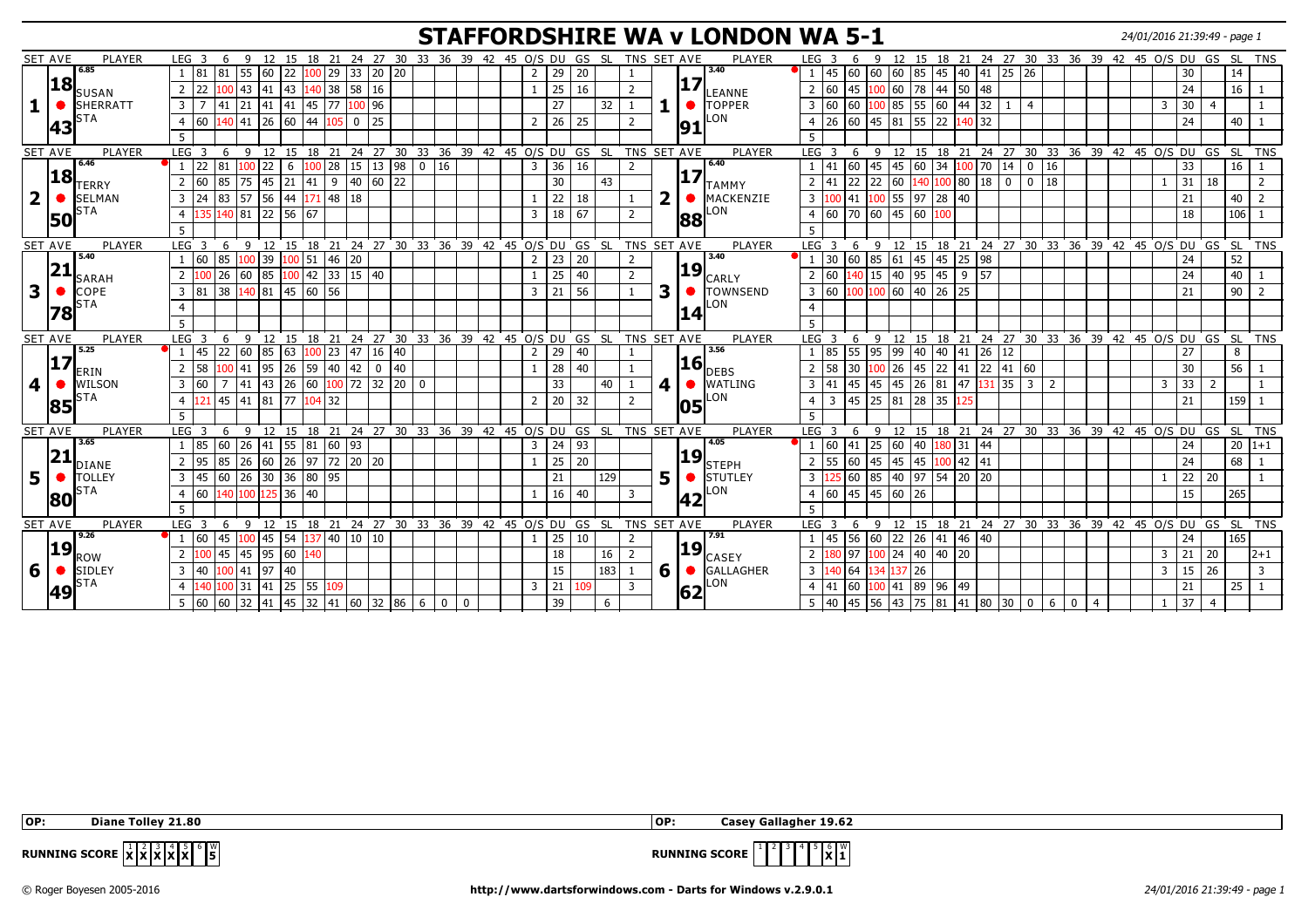## **STAFFORDSHIRE WA v LONDON WA 5-1** 24/01/2016 21:39:49 - page 1

|                         | <b>SET AVE</b><br>PLAYER        | LEG <sub>3</sub><br>6<br>9                        | 12 15 18 21 24 27 30 33 36 39 42 45 O/S DU GS SL                                                         |                    |                               |                |                 |              |                | TNS SET AVE    | <b>PLAYER</b>    | LEG <sub>3</sub><br>6                       | 9            | 12 15 18 21 24 27 30 33 36 39 42 45 O/S DU GS SL TNS             |             |          |             |                                                        |             |                |              |                             |                 |                |
|-------------------------|---------------------------------|---------------------------------------------------|----------------------------------------------------------------------------------------------------------|--------------------|-------------------------------|----------------|-----------------|--------------|----------------|----------------|------------------|---------------------------------------------|--------------|------------------------------------------------------------------|-------------|----------|-------------|--------------------------------------------------------|-------------|----------------|--------------|-----------------------------|-----------------|----------------|
|                         | 6.85                            | 55<br>$\frac{160}{22}$<br> 81  81                 | $100$ 29 33 20 20                                                                                        |                    |                               | $\overline{2}$ | 29              | 20           |                |                | 3,40             | 45 60                                       |              |                                                                  |             |          |             |                                                        |             |                |              | 30                          | 14              |                |
|                         | 18<br><b>SUSAN</b>              | 100  43  41  43<br>22<br>$\overline{2}$           | $140$ 38 58                                                                                              | 16                 |                               |                | 25              | 16           | $\overline{2}$ | 17             | LEANNE           | $2 \ 60$<br>45                              |              | $100$ 60 78 44 50                                                |             | 48       |             |                                                        |             |                |              | 24                          | 16              |                |
|                         | <b>SHERRATT</b><br>$\bullet$    | $\overline{3}$<br>$\overline{z}$                  | $\boxed{41}$ $\boxed{21}$ $\boxed{41}$ $\boxed{41}$ $\boxed{45}$ $\boxed{77}$ $\boxed{100}$ $\boxed{96}$ |                    |                               |                | 27              | 32           |                |                | <b>TOPPER</b>    | 3   60   60                                 |              | $\vert 100 \vert 85 \vert 55 \vert 60 \vert 44 \vert 32 \vert 1$ |             |          | l 4         |                                                        |             |                | 3            | 30<br>$\overline{4}$        |                 |                |
|                         | <b>STA</b><br>43                | 140 41<br>60<br>$\overline{4}$                    | $26 \ 60 \ 44$<br>105 l                                                                                  | 25<br>$\mathbf{0}$ |                               | 2              | 26              | 25           | $\overline{2}$ | 191            | LON              | $4 \overline{26}$<br>60                     |              | 45 81 55 22 140 32                                               |             |          |             |                                                        |             |                |              | 24                          | 40              |                |
|                         |                                 | 5                                                 |                                                                                                          |                    |                               |                |                 |              |                |                |                  | $5^{\circ}$                                 |              |                                                                  |             |          |             |                                                        |             |                |              |                             |                 |                |
|                         | <b>PLAYER</b><br><b>SET AVE</b> | LEG <sub>3</sub><br>6<br>$\overline{9}$           | 12 15 18 21 24 27 30 33 36 39 42 45 0/S DU GS SL                                                         |                    |                               |                |                 |              |                | TNS SET AVE    | PLAYER           | LEG <sub>3</sub><br>- 6                     | $\mathsf{q}$ | 12 15 18 21 24 27 30 33 36 39 42 45 O/S DU GS SL TNS             |             |          |             |                                                        |             |                |              |                             |                 |                |
|                         | 6.46                            | l 22<br>81<br>.00<br>22                           | $100$ 28 15 13 98<br>6                                                                                   |                    | 0 16                          | $\overline{3}$ | 36              | 16           | 2              |                | 6.40             | 41<br>60                                    |              | 45  45  60  34   <mark>100</mark>   70   14                      |             |          |             | $\begin{array}{ c c c c c } \hline 0 & 16 \end{array}$ |             |                |              | 33                          | 16              |                |
|                         | 18<br><b>TERRY</b>              | 60  <br>85 75<br>$\sqrt{45}$ 21<br>$\overline{2}$ | 41<br>9                                                                                                  | $60$ 22<br>40      |                               |                | 30              | 43           |                | 17'            | <b>TAMMY</b>     | 22<br>41<br>$\overline{2}$                  | 22 60        | 140 100 80                                                       |             | $18$ 0   | 0 I         | 18                                                     |             |                |              | 31<br>18                    |                 |                |
| $\overline{\mathbf{2}}$ | <b>SELMAN</b>                   | 56 44<br>83 57<br>3<br>l 24                       | $171$ 48 18                                                                                              |                    |                               |                | 22              | 18           |                | 2              | MACKENZIE        | $\overline{3}$<br>41                        | $100$ 55 97  |                                                                  | 28 40       |          |             |                                                        |             |                |              | 21                          | 40              |                |
|                         | STA<br>50                       | 140   81<br>$\overline{4}$<br>135                 | 22 56 67                                                                                                 |                    |                               | $\overline{3}$ | 18              | l 67         | $\overline{2}$ | 88             | LON              | 4   60   70                                 |              |                                                                  |             |          |             |                                                        |             |                |              | 18                          | 106             |                |
|                         |                                 |                                                   |                                                                                                          |                    |                               |                |                 |              |                |                |                  | 5                                           |              |                                                                  |             |          |             |                                                        |             |                |              |                             |                 |                |
|                         | <b>SET AVE</b><br>PLAYER        | LEG <sub>3</sub><br>6<br>$\mathsf{q}$             | 12 15 18 21 24 27 30 33 36 39 42 45 0/S DU GS SL                                                         |                    |                               |                |                 |              |                | TNS SET AVE    | PLAYER           | LEG <sub>3</sub><br>-6                      | -9           | 12 15 18 21 24 27 30 33 36 39 42 45 0/S DU GS SL TNS             |             |          |             |                                                        |             |                |              |                             |                 |                |
|                         | 5.40                            | 85<br>160<br>100                                  | 39 100 51 46<br>20                                                                                       |                    |                               | 2              | 23              | 20           |                |                | 3.40             | 30<br>60                                    | 85 61        | $45 \mid 45 \mid 25$                                             |             | 98       |             |                                                        |             |                |              | 24                          | 52              |                |
|                         | 21<br><b>SARAH</b>              | 60<br>26<br>2                                     | $85 \mid 100 \mid 42 \mid 33 \mid 15 \mid 40$                                                            |                    |                               |                | 25              | 40           | $\overline{2}$ | 19             | <b>CARLY</b>     | 60<br>40                                    | 15 40        | $\overline{95}$                                                  | $145$ 9     | 57       |             |                                                        |             |                |              | 24                          | 40              |                |
| 3                       | COPE                            | 38 140 81 45 60 56<br>3   81                      |                                                                                                          |                    |                               | $\overline{3}$ | 21              | 56           |                | 3              | <b>TOWNSEND</b>  | 3 60                                        |              | 100 100 60 40 26 25                                              |             |          |             |                                                        |             |                |              | 21                          | $\overline{90}$ | $\overline{2}$ |
|                         | <b>STA</b><br> 78               |                                                   |                                                                                                          |                    |                               |                |                 |              |                |                | LON              |                                             |              |                                                                  |             |          |             |                                                        |             |                |              |                             |                 |                |
|                         |                                 | 5                                                 |                                                                                                          |                    |                               |                |                 |              |                | 14             |                  | 5 <sup>1</sup>                              |              |                                                                  |             |          |             |                                                        |             |                |              |                             |                 |                |
|                         | <b>PLAYER</b><br><b>SET AVE</b> | LEG <sub>3</sub>                                  | 6 9 12 15 18 21 24 27 30 33 36 39 42 45 O/S DU GS SL TNS SET AVE                                         |                    |                               |                |                 |              |                |                | PLAYER           | LEG <sub>3</sub><br>- 6                     |              | 9 12 15 18 21 24 27 30 33 36 39 42 45 0/S DU GS SL TNS           |             |          |             |                                                        |             |                |              |                             |                 |                |
|                         | 5.25                            | 22 60<br>85 63<br>145                             | $100$ 23 47                                                                                              | 16 40              |                               | $\overline{2}$ | 29              | 40           |                |                | 3.56             | 55<br>1 85                                  | 95 99        | $40 \mid 40 \mid 41$                                             |             | 26 12    |             |                                                        |             |                |              | 27                          | 8               |                |
|                         | 17<br><b>ERIN</b>               | 58<br>2                                           | 100 41 95 26 59 40 42                                                                                    | $0 \mid 40$        |                               |                | $\overline{28}$ | 40           |                | 16             | <b>I</b> DEBS    | $2 \mid 58 \mid 30$                         | $100$ 26     |                                                                  |             |          |             |                                                        |             |                |              | 30                          | $\overline{56}$ |                |
| $\overline{\mathbf{4}}$ | WILSON<br>$\bullet$             | $7 \quad 41$<br>$\overline{3}$<br>60              |                                                                                                          |                    |                               |                | 33              | 40           |                | 4              | <b>WATLING</b>   | $3 \mid 41$<br>45                           | 45 45        | $26 \ 81 \ 47$                                                   |             | $131$ 35 | $ 3\rangle$ | $\overline{2}$                                         |             |                | $\mathbf{3}$ | 33<br>$\overline{2}$        |                 |                |
|                         | STA                             | 45   41   81   77<br>$\overline{4}$               | $104$ 32                                                                                                 |                    |                               | 2              | 20              | 32           | $\overline{2}$ |                | LON              | 45<br>$\overline{4}$<br>3                   | 25 81        | 28 35                                                            | 125         |          |             |                                                        |             |                |              | 21                          | 159             |                |
|                         | 85                              | 5                                                 |                                                                                                          |                    |                               |                |                 |              |                | <b>05</b>      |                  | .5.                                         |              |                                                                  |             |          |             |                                                        |             |                |              |                             |                 |                |
|                         | <b>SET AVE</b><br><b>PLAYER</b> | LEG <sub>3</sub><br>- 9<br>-6                     | 12 15 18 21 24 27 30 33 36 39 42 45 O/S DU GS SL TNS SET AVE                                             |                    |                               |                |                 |              |                |                | PLAYER           | $LEG$ 3<br>-6                               | - 9          | 12 15 18 21 24 27 30 33 36 39 42 45 O/S DU GS SL TNS             |             |          |             |                                                        |             |                |              |                             |                 |                |
|                         | 3.65                            | $\overline{26}$<br>85<br>60                       | $\boxed{41}$ 55 81 60 93                                                                                 |                    |                               | 3              | 24              | 93           |                |                | 4.05             | $1\overline{60}$<br>$\overline{41}$         | 25 60        | 40 180 31 44                                                     |             |          |             |                                                        |             |                |              | 24                          |                 | $20 1+1$       |
|                         | 21<br><b>DIANE</b>              | 26<br>95<br>85<br>2                               | 60 26 97 72 20 20                                                                                        |                    |                               |                | 25              | $\boxed{20}$ |                | 19             | <b>STEPH</b>     | 55<br>$\sqrt{60}$<br>$\overline{2}$         | 45<br>45     | $\overline{45}$                                                  | $100$ 42 41 |          |             |                                                        |             |                |              | 24                          | 68              |                |
| 5                       | <b>TOLLEY</b><br>  ●            | 26<br>$\overline{3}$<br>145<br>60                 | 30 36 80 95                                                                                              |                    |                               |                | 21              | 129          |                | 5              | <b>I</b> STUTLEY | 60<br>3 <sup>1</sup>                        |              | 85 40 97 54 20                                                   |             | 120      |             |                                                        |             |                |              | 22<br>20                    |                 |                |
|                         | <b>STA</b><br>180               | 60  <br>140 100<br>$\overline{4}$                 | $125 \overline{)36} \overline{)40}$                                                                      |                    |                               |                | 16              | 40           | 3              |                | LON              | $4 \mid 60 \mid 45 \mid 45 \mid 60 \mid 26$ |              |                                                                  |             |          |             |                                                        |             |                |              | 15                          | 265             |                |
|                         |                                 | 5                                                 |                                                                                                          |                    |                               |                |                 |              |                | 42             |                  | 5                                           |              |                                                                  |             |          |             |                                                        |             |                |              |                             |                 |                |
|                         | <b>SET AVE</b><br><b>PLAYER</b> | LEG <sub>3</sub>                                  | 6 9 12 15 18 21 24 27 30 33 36 39 42 45 O/S DU GS SL TNS SET AVE                                         |                    |                               |                |                 |              |                |                | PLAYER           | LEG <sub>3</sub><br>-6                      |              | 9 12 15 18 21 24 27 30 33 36 39 42 45 O/S DU GS SL TNS           |             |          |             |                                                        |             |                |              |                             |                 |                |
|                         | 9.26                            | 60  <br>45                                        | 100 45 54 137 40 10 10                                                                                   |                    |                               |                | 25              | 10           | $\overline{2}$ |                | 7.91             | 56<br>45                                    |              | 60   22   26   41   46   40                                      |             |          |             |                                                        |             |                |              | 24                          | 165             |                |
|                         | 19 <br><b>ROW</b>               | 45 45<br> 95 60<br>$\overline{2}$                 | 140                                                                                                      |                    |                               |                | 18              | 16           | $\overline{2}$ | 19             | <b>CASEY</b>     | 97<br>$\overline{2}$                        |              | $100$ 24 40 40 20                                                |             |          |             |                                                        |             |                | 3            | 21<br>20                    |                 | $ 2+1 $        |
|                         |                                 |                                                   |                                                                                                          |                    |                               |                | 15              | 183          | - 1            | 6 <sup>1</sup> | GALLAGHER        | $3 \t140 \t64$                              | 134 137 26   |                                                                  |             |          |             |                                                        |             |                |              | $15 \overline{\smash{)}26}$ |                 | $\overline{3}$ |
|                         | SIDLEY                          | 100 41 97 40<br>$\overline{3}$<br> 40             |                                                                                                          |                    |                               |                |                 |              |                |                |                  |                                             |              |                                                                  |             |          |             |                                                        |             |                | 3            |                             |                 |                |
| 6                       | <b>STA</b>                      | 100 31<br>140                                     | 109                                                                                                      |                    |                               | $\overline{3}$ |                 | 109          | 3              |                | LON              | $4 \mid 41$<br>60                           |              |                                                                  |             |          |             |                                                        |             |                |              |                             | 25              |                |
|                         | 49                              | 5 60 60 32 41 45 32 41 60 32 86 6                 | 41 25 55                                                                                                 |                    | $\overline{0}$<br>$\mathbf 0$ |                | 21<br>39        | 6            |                | 62             |                  | $5 \mid 40 \mid 45$                         |              | 100 41 89 96 49<br>  56   43   75   81   41   80   30   0        |             |          |             | 6                                                      | $\mathbf 0$ | $\overline{4}$ |              | 21<br>37<br>$\overline{4}$  |                 |                |

 **OP: Diane Tolley 21.80 OP: Casey Gallagher 19.62**



**RUNNING SCORE**  $\mathbf{x} \mid \mathbf{1}^{\mathsf{w}}$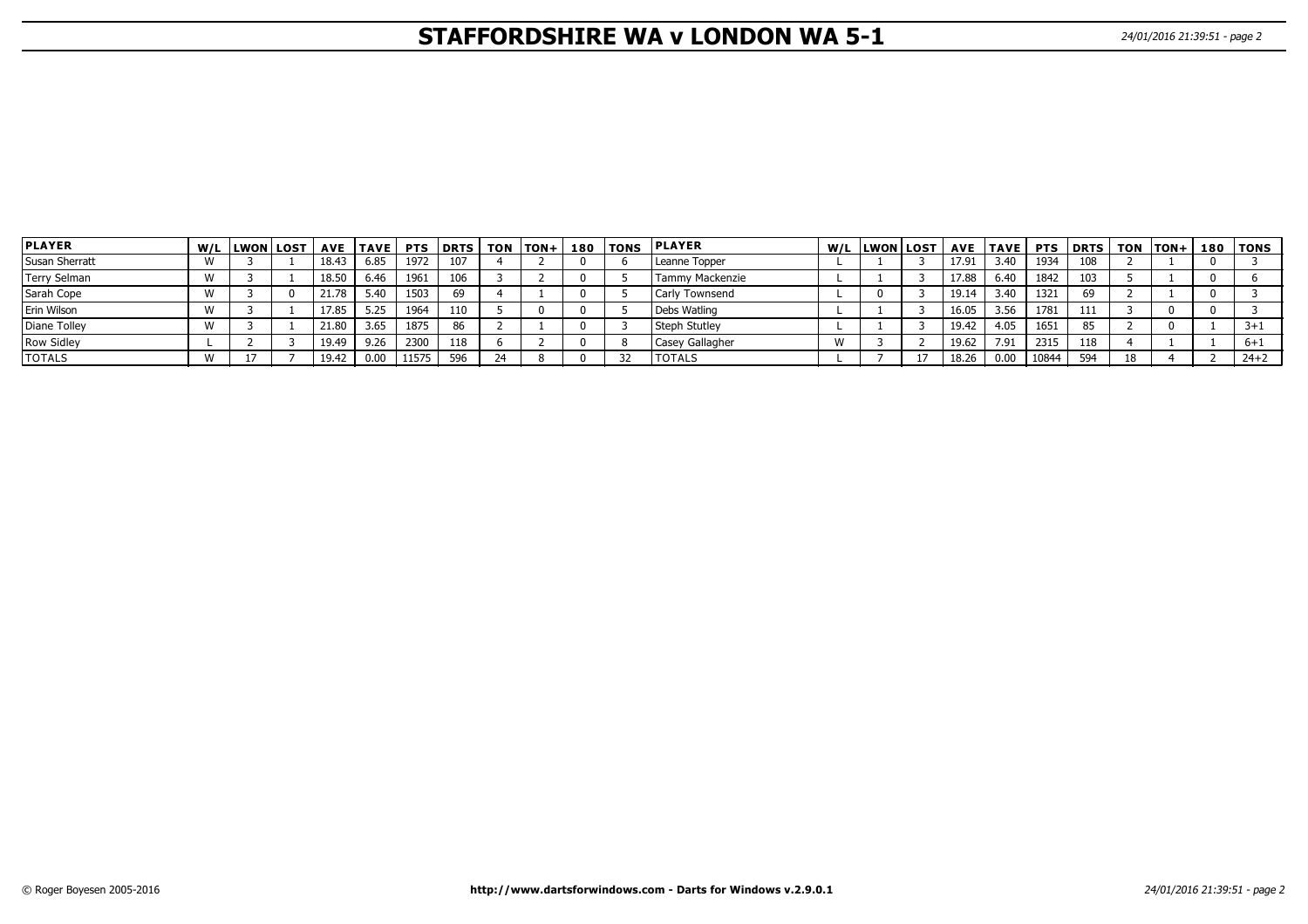# **STAFFORDSHIRE WA v LONDON WA 5-1** 24/01/2016 21:39:51 - page 2

| <b>PLAYER</b>  | W/L LWON LOST |       | AVE   TAVE | <b>PTS</b> | l DRTS | <b>TON</b> | $ION+$ | 180 l | <b>TONS</b> | <b>PLAYER</b>   | W/L LWON LOST | <b>AVE</b> | <b>TAVE</b> | <b>PTS</b> |     |    | $ DRTS $ TON $ TON +$ | 180   TONS |
|----------------|---------------|-------|------------|------------|--------|------------|--------|-------|-------------|-----------------|---------------|------------|-------------|------------|-----|----|-----------------------|------------|
| Susan Sherratt |               | 18.43 | 6.85       | 1972       | 107    |            |        |       |             | Leanne Topper   |               | 17.91      | 3.40        | 1934       | 108 |    |                       |            |
| Terry Selman   |               | 18.50 | 6.46       | 1961       | 106    |            |        |       |             | Tammy Mackenzie |               | 17.88      | 6.40        | 1842       | 103 |    |                       |            |
| Sarah Cope     |               | 21.78 | 5.40       | 1503       | 69     |            |        |       |             | Carly Townsend  |               | 19.14      | 3.40        | 1321       | 69  |    |                       |            |
| Erin Wilson    |               | 17.85 | 5.25       | 1964       | 110    |            |        |       |             | Debs Watling    |               | 16.05      | 3.56        | 1781       | 111 |    |                       |            |
| Diane Tolley   |               | 21.80 | 3.65       | 1875       | 86     |            |        |       |             | Steph Stutley   |               | 19.42      | 4.05        | 1651       | 85  |    |                       | $3 + 1$    |
| Row Sidley     |               | 19.49 | 9.26       | 2300       | 118    |            |        |       |             | Casey Gallagher |               | 19.62      | 7.91        | 2315       | 118 |    |                       | $6 + 1$    |
| <b>TOTALS</b>  |               | 19.42 | 0.00       | 11575      | 596    |            |        |       |             | <b>TOTALS</b>   |               | 18.26      | 0.00        | 10844      | 594 | 18 |                       | $24+2$     |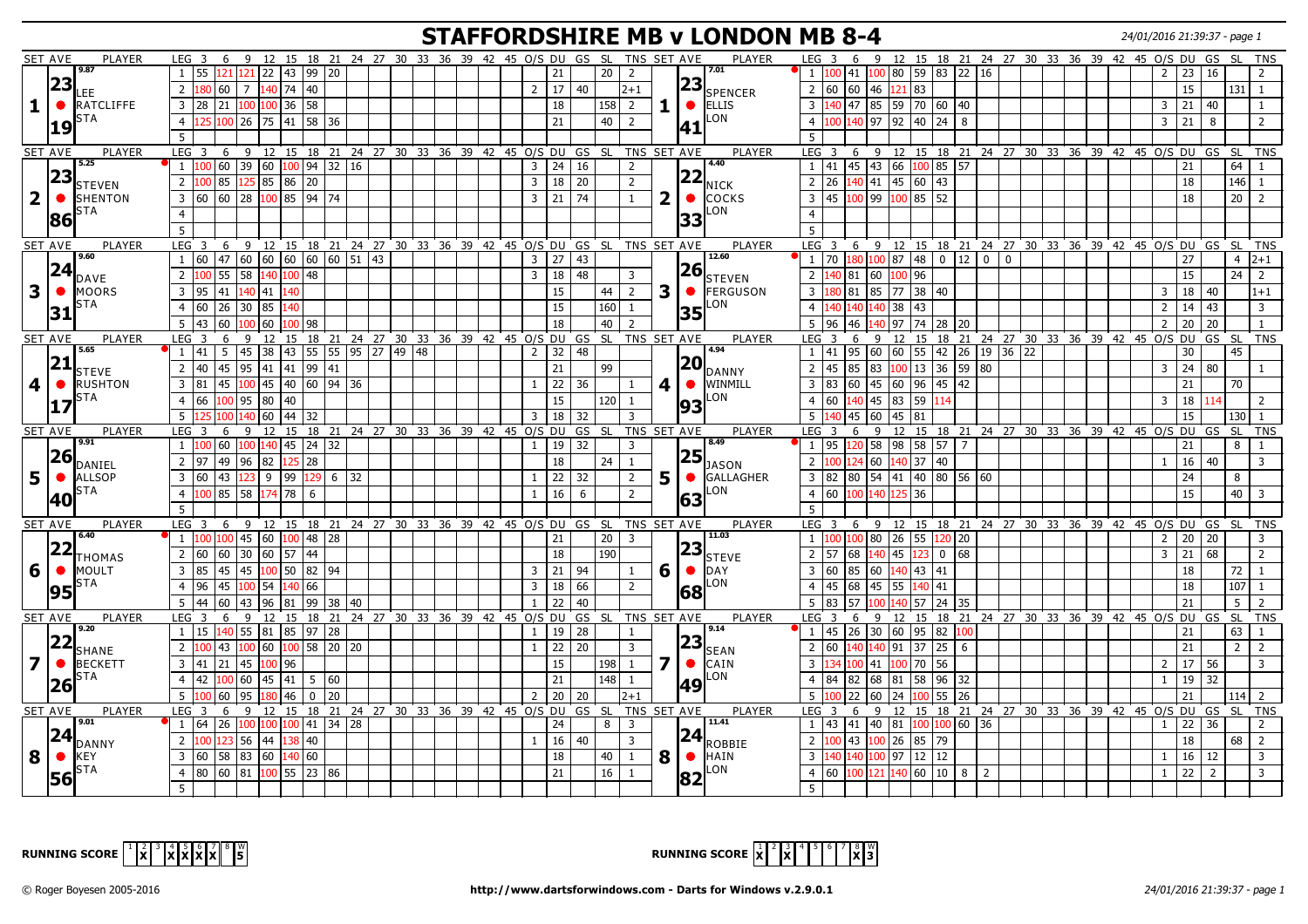## **STAFFORDSHIRE MB v LONDON MB 8-4** 24/01/2016 21:39:37 - page 1

|                         | <b>SET AVE</b> | PLAYER                | LEG <sub>3</sub>                                                       | 6                                                                     | 9            |              |                               |  | 12 15 18 21 24 27 30 33 36 39 42 45 0/S DU GS SL                 |  |  |                                 |    |                 | TNS SET AVE             |              |           | PLAYER                             |                | LEG <sub>3</sub>              | 6<br>9   |              | 12 15 18 21 24 27 30 33 36 39 42 45 0/S DU               |       |                |          |                                            |  |                |    | GS SL                             |                  | TNS                     |
|-------------------------|----------------|-----------------------|------------------------------------------------------------------------|-----------------------------------------------------------------------|--------------|--------------|-------------------------------|--|------------------------------------------------------------------|--|--|---------------------------------|----|-----------------|-------------------------|--------------|-----------|------------------------------------|----------------|-------------------------------|----------|--------------|----------------------------------------------------------|-------|----------------|----------|--------------------------------------------|--|----------------|----|-----------------------------------|------------------|-------------------------|
|                         |                | 9.87                  | l 55<br>$\mathbf{1}$                                                   |                                                                       |              |              | 121 121 22 43 99 20           |  |                                                                  |  |  | 21                              |    | 20              | 2                       |              |           | 7.01                               |                | 1<br>100 41                   |          |              | $100$ 80 59 83 22 16                                     |       |                |          |                                            |  | $\mathcal{P}$  | 23 | 16                                |                  | 2                       |
|                         | 23             |                       |                                                                        | 2  180  60   7  140  74  40                                           |              |              |                               |  |                                                                  |  |  | 17<br>$\overline{2}$            | 40 |                 | $2+1$                   |              |           | $\left 23\right _{\text{SPENCER}}$ |                | 60<br>2 60                    |          | 46 121 83    |                                                          |       |                |          |                                            |  |                | 15 |                                   | 131   1          |                         |
|                         |                | LEE                   |                                                                        |                                                                       |              |              |                               |  |                                                                  |  |  |                                 |    |                 |                         |              |           |                                    |                |                               |          |              |                                                          |       |                |          |                                            |  |                |    |                                   |                  |                         |
| $\mathbf{1}$            | $\bullet$      | <b>RATCLIFFE</b>      | 3   28                                                                 | 21 100                                                                |              |              | $100$ 36 58                   |  |                                                                  |  |  | 18                              |    | 158             | $\overline{2}$          | 1.           |           | $\bullet$ ELLIS                    |                | $\overline{3}$<br>47          |          |              | 85 59 70 60 40                                           |       |                |          |                                            |  | 3              |    | $21 \mid 40$                      |                  | 1                       |
|                         | 19             | <b>STA</b>            | $\overline{4}$                                                         | 100                                                                   | 26           |              | 75  41  58  36                |  |                                                                  |  |  | 21                              |    | 40              | 2                       |              | 41        | LON                                |                | $\overline{4}$                | 140      |              | 97  92  40  24   8                                       |       |                |          |                                            |  | $\overline{3}$ | 21 | 8                                 |                  | 2                       |
|                         |                |                       | 5                                                                      |                                                                       |              |              |                               |  |                                                                  |  |  |                                 |    |                 |                         |              |           |                                    | 5              |                               |          |              |                                                          |       |                |          |                                            |  |                |    |                                   |                  |                         |
|                         | <b>SET AVE</b> | <b>PLAYER</b>         | LEG <sup>3</sup>                                                       |                                                                       |              |              |                               |  | 6 9 12 15 18 21 24 27 30 33 36 39 42 45 O/S DU GS SL TNS SET AVE |  |  |                                 |    |                 |                         |              |           | PLAYER                             |                | $LEG$ 3                       | 6        |              | 9 12 15 18 21 24 27 30 33 36 39 42 45 O/S DU GS          |       |                |          |                                            |  |                |    |                                   |                  | SL TNS                  |
|                         |                | 5.25                  |                                                                        | $1 \vert 100 \vert 60 \vert 39$                                       |              |              |                               |  |                                                                  |  |  | 24<br>$\overline{\mathbf{3}}$   | 16 |                 | 2                       |              |           | 4.40                               |                | 141<br>45                     |          |              | 43 66 100 85 57                                          |       |                |          |                                            |  |                | 21 |                                   | $64$   1         |                         |
|                         | 23             | <b>STEVEN</b>         | 2                                                                      | 85                                                                    | 125          |              | $85 \ 86 \ 20$                |  |                                                                  |  |  | $\overline{3}$<br>18            | 20 |                 | $\overline{2}$          |              |           | $ 22 _{NICK}$                      |                | $2 \mid 26$                   |          |              | 140 41 45 60 43                                          |       |                |          |                                            |  |                | 18 |                                   | 146 1            |                         |
| $\overline{2}$          | $\bullet$      | <b>SHENTON</b>        |                                                                        | 3 60 60 28 100 85 94 74                                               |              |              |                               |  |                                                                  |  |  | $\overline{3}$<br>21            | 74 |                 | $\mathbf{1}$            | $\mathbf{2}$ | $\bullet$ | <b>COCKS</b>                       |                | 3 45                          |          |              | 100 99 100 85 52                                         |       |                |          |                                            |  |                | 18 |                                   | $20 \mid 2$      |                         |
|                         |                | <b>STA</b>            |                                                                        |                                                                       |              |              |                               |  |                                                                  |  |  |                                 |    |                 |                         |              |           | LON                                |                |                               |          |              |                                                          |       |                |          |                                            |  |                |    |                                   |                  |                         |
|                         | 86             |                       | $\overline{4}$                                                         |                                                                       |              |              |                               |  |                                                                  |  |  |                                 |    |                 |                         |              | 33        |                                    | $\overline{4}$ |                               |          |              |                                                          |       |                |          |                                            |  |                |    |                                   |                  |                         |
|                         |                |                       | 5                                                                      |                                                                       |              |              |                               |  |                                                                  |  |  |                                 |    |                 |                         |              |           |                                    | 5              |                               |          |              |                                                          |       |                |          |                                            |  |                |    |                                   |                  |                         |
|                         | <b>SET AVE</b> | PLAYER<br>9.60        | LEG 3 6 9 12 15 18 21 24 27 30 33 36 39 42 45 O/S DU GS SL TNS SET AVE |                                                                       |              |              |                               |  |                                                                  |  |  |                                 |    |                 |                         |              |           | PI AYFR<br>12.60                   |                | LEG <sub>3</sub>              |          |              | 6 9 12 15 18 21 24 27 30 33 36 39 42 45 O/S DU GS SL TNS |       |                |          |                                            |  |                |    |                                   |                  |                         |
|                         |                |                       |                                                                        | 1 60 47 60 60 60 60 60 51 43                                          |              |              |                               |  |                                                                  |  |  | 27<br>$\overline{3}$            | 43 |                 |                         |              |           |                                    |                | $1 \mid 70 \mid$              |          |              | 180 100 87 48 0 12 00                                    |       |                |          |                                            |  |                | 27 |                                   |                  | $4 \; 12 + 1$           |
|                         | 24             | <b>DAVE</b>           | 2 100                                                                  | 55 58                                                                 |              |              | 140 100 48                    |  |                                                                  |  |  | 18<br>$\overline{3}$            | 48 |                 | $\overline{3}$          |              | 26        | <b>STEVEN</b>                      |                | $2^{\circ}$                   | 81       | 60 100       | 96                                                       |       |                |          |                                            |  |                | 15 |                                   | $24 \mid 2$      |                         |
| 3                       | $\bullet$      | <b>MOORS</b>          | $\overline{3}$<br>  95                                                 | 41 140                                                                |              | 41           | 40                            |  |                                                                  |  |  | 15                              |    | 44              | 2                       | 3            | $\bullet$ | <b>IFERGUSON</b>                   |                | $\overline{3}$<br>81          |          | 85 77        | 38 40                                                    |       |                |          |                                            |  | 3              | 18 | 40                                |                  | $1+1$                   |
|                         | 31             | STA                   | $\sqrt{60}$<br>$\overline{4}$                                          | $26 \mid 30$                                                          |              | 85           | 40                            |  |                                                                  |  |  | 15                              |    | 160             | 1                       |              |           | LON                                |                | 4 <sup>1</sup>                | 140      | 140 38       | 43                                                       |       |                |          |                                            |  | 2              |    | $14 \mid 43$                      |                  | $\overline{3}$          |
|                         |                |                       | 5 43                                                                   | 60 1                                                                  | $.00$ $  60$ |              | 00 98                         |  |                                                                  |  |  | 18                              |    | 40              |                         |              |           |                                    |                | $5 \mid 96$                   | 46       | 140 I 97     | 74 28 20                                                 |       |                |          |                                            |  | 2              |    | $20 \mid 20$                      |                  | -1                      |
|                         | <b>SET AVE</b> | <b>PLAYER</b>         | <b>LEG</b><br>3                                                        | 6                                                                     | 9            | 12<br>15     |                               |  | 18 21 24 27 30 33 36 39 42 45 O/S DU GS SL TNS SET AVE           |  |  |                                 |    |                 |                         |              |           | <b>PLAYER</b>                      |                | LEG <sub>3</sub>              | 9<br>6   | 12           | 15                                                       |       |                |          | 18 21 24 27 30 33 36 39 42 45 0/S DU GS SL |  |                |    |                                   |                  | <b>TNS</b>              |
|                         |                | 5.65                  | 1   41                                                                 | 5                                                                     | 45           |              | 38 43 55 55 95                |  | 27 49 48                                                         |  |  | 32<br>$\overline{2}$            | 48 |                 |                         |              |           | 4.94                               |                | $1 \mid 41$<br>95             |          | 60 60 55     |                                                          | 42 26 |                | 19 36 22 |                                            |  |                | 30 |                                   | 45               |                         |
|                         |                | $ 21 _{\text{STEVE}}$ | 2 40                                                                   |                                                                       |              |              | 45 95 41 41 99 41             |  |                                                                  |  |  | 21                              |    | 99              |                         |              | 20        | IDANNY                             |                | 2 45<br>85                    |          |              | 83 100 13 36 59                                          |       | 80             |          |                                            |  | $\overline{3}$ | 24 | 80                                |                  | 1                       |
| 4 <sup>1</sup>          | $\bullet$      | <b>RUSHTON</b>        | 3   81                                                                 |                                                                       |              |              | 45 100 45 40 60 94 36         |  |                                                                  |  |  | 22<br>$\mathbf{1}$              | 36 |                 | -1                      | 4            |           | <b>O</b> IWINMILL                  |                | 3 83<br>60                    |          |              | 45  60  96  45  42                                       |       |                |          |                                            |  |                | 21 |                                   | 70               |                         |
|                         |                | STA                   | 4 66                                                                   |                                                                       |              | 100 95 80 40 |                               |  |                                                                  |  |  | 15                              |    | 120             | 1                       |              |           | LON                                |                | 4 60                          |          | 140 45 83 59 | 114                                                      |       |                |          |                                            |  | $\overline{3}$ | 18 | 114                               |                  | 2                       |
|                         |                |                       |                                                                        |                                                                       |              |              |                               |  |                                                                  |  |  |                                 |    |                 |                         |              | 93        |                                    |                |                               |          |              |                                                          |       |                |          |                                            |  |                |    |                                   |                  |                         |
|                         |                |                       | 5                                                                      | 1001                                                                  | 40           |              | 60 44 32                      |  |                                                                  |  |  | 18<br>$\overline{3}$            | 32 |                 | 3                       |              |           |                                    |                | 5 <sup>1</sup>                | 45       | 60 45 81     |                                                          |       |                |          |                                            |  |                | 15 |                                   | 130 <sup>1</sup> |                         |
|                         | <b>SET AVE</b> | <b>PLAYER</b><br>9.91 | $LEG$ 3                                                                | 6                                                                     | - 9          |              |                               |  | 12 15 18 21 24 27 30 33 36 39 42 45 O/S DU GS SL TNS SET AVE     |  |  |                                 |    |                 |                         |              |           | PLAYER<br>8.49                     |                | LEG <sub>3</sub>              | 9<br>- 6 |              | 12 15 18 21 24 27 30 33 36 39 42 45 0/S DU GS            |       |                |          |                                            |  |                |    |                                   |                  | SL TNS                  |
|                         | 26             |                       |                                                                        | $1 \vert 100 \vert 60 \vert 100 \vert 140 \vert 45 \vert 24 \vert 32$ |              |              |                               |  |                                                                  |  |  | 19<br>$\mathbf{1}$              | 32 |                 | $\overline{3}$          |              | 25        |                                    |                | $1 \vert 95$                  |          |              | 120 58 98 58 57                                          | 7     |                |          |                                            |  |                | 21 |                                   | 8                | <sup>1</sup>            |
|                         |                | DANIEL                | 2 97                                                                   | $\overline{49}$                                                       | 96           | 82           | 125 28                        |  |                                                                  |  |  | 18                              |    | 24              | -1                      |              |           | DASON                              |                | $2^{\circ}$                   | 124      |              | 60 140 37 40                                             |       |                |          |                                            |  | $\mathbf{1}$   | 16 | 40                                |                  | $\overline{3}$          |
| 5                       | $\bullet$      | <b>ALLSOP</b>         | $\overline{\mathbf{3}}$<br>60                                          | 43 123                                                                |              |              | 9   99   129   6   32         |  |                                                                  |  |  | 22<br>1                         | 32 |                 | $\overline{2}$          | 5            | $\bullet$ | GALLAGHER                          |                | 80<br>$3 \mid 82$             |          |              | 54 41 40 80 56 60                                        |       |                |          |                                            |  |                | 24 |                                   | 8                |                         |
|                         | 40             | STA                   | 4 100                                                                  | 85 58                                                                 |              | 174 78       | 6                             |  |                                                                  |  |  | $\overline{16}$<br>$\mathbf{1}$ | 6  |                 | 2                       |              | 63        | LON                                |                | $4 \overline{60}$             | 100      | 140 125      | 36                                                       |       |                |          |                                            |  |                | 15 |                                   | 40 3             |                         |
|                         |                |                       | -5                                                                     |                                                                       |              |              |                               |  |                                                                  |  |  |                                 |    |                 |                         |              |           |                                    | 5 <sup>1</sup> |                               |          |              |                                                          |       |                |          |                                            |  |                |    |                                   |                  |                         |
|                         | <b>SET AVE</b> | <b>PLAYER</b>         | $LEG$ 3                                                                |                                                                       |              |              |                               |  | 6 9 12 15 18 21 24 27 30 33 36 39 42 45 O/S DU GS SL TNS SET AVE |  |  |                                 |    |                 |                         |              |           | <b>PLAYER</b>                      |                | LEG <sub>3</sub>              | 6        |              | 9 12 15 18 21 24 27 30 33 36 39 42 45 0/S DU GS          |       |                |          |                                            |  |                |    |                                   |                  | SL TNS                  |
|                         |                | 6.40                  | 1100                                                                   |                                                                       |              |              | 100 45 60 100 48 28           |  |                                                                  |  |  | 21                              |    | 20 <sup>1</sup> | $\overline{\mathbf{3}}$ |              |           | 11.03                              |                | 1 100 100 80 26 55 120 20     |          |              |                                                          |       |                |          |                                            |  | $\overline{2}$ |    | $20 \overline{20}$                |                  | $\overline{3}$          |
|                         | 22             | THOMAS                | 2<br>160                                                               |                                                                       |              |              | 60 30 60 57 44                |  |                                                                  |  |  | 18                              |    | 190             |                         |              | 23        | <b>I</b> STEVE                     |                | $2 \mid 57$                   | 68       | $140$ 45     | $123$ 0 $168$                                            |       |                |          |                                            |  | $\overline{3}$ |    | $21 \mid 68$                      |                  | $\overline{2}$          |
| 6                       | $\bullet$      | MOULT                 | 3 85                                                                   | 45 45                                                                 |              |              | 100 50 82 94                  |  |                                                                  |  |  | 21<br>$\overline{3}$            | 94 |                 | 1                       | 6            | $\bullet$ | IDAY                               |                | 3 60<br>85                    |          |              | 60  140  43  41                                          |       |                |          |                                            |  |                | 18 |                                   | 72   1           |                         |
|                         |                | STA                   | 96  <br>$\overline{4}$                                                 |                                                                       |              |              | 45 100 54 140 66              |  |                                                                  |  |  | $\overline{3}$<br>18            | 66 |                 | 2                       |              |           | LON                                |                | $4 \mid 45$                   | 68       | 45 55        | 140 41                                                   |       |                |          |                                            |  |                | 18 |                                   | 107 1            |                         |
|                         | 95             |                       | $5 \mid 44$                                                            | 60 43                                                                 |              |              | 96 81 99 38 40                |  |                                                                  |  |  | 22<br>$\mathbf{1}$              | 40 |                 |                         |              | 68        |                                    |                | $5$ 83<br>57                  |          |              | 100 140 57 24 35                                         |       |                |          |                                            |  |                | 21 |                                   | 5 <sup>1</sup>   | $\overline{2}$          |
|                         | <b>SET AVE</b> | PLAYER                | LEG <sub>3</sub>                                                       | 6                                                                     | - 9          |              |                               |  | 12 15 18 21 24 27 30 33 36 39 42 45 0/S DU GS SL TNS SET AVE     |  |  |                                 |    |                 |                         |              |           | PLAYER                             |                | LEG <sub>3</sub>              | 6<br>9   |              | 12 15 18 21 24 27 30 33 36 39 42 45 0/S DU GS            |       |                |          |                                            |  |                |    |                                   |                  | SL TNS                  |
|                         |                | 9.20                  | $1 \mid 15$                                                            |                                                                       |              |              | $140$ 55 81 85 97 28          |  |                                                                  |  |  | 19<br>$\mathbf{1}$              | 28 |                 | 1                       |              |           | 9.14                               |                | $1 \vert 45$<br>26            |          |              | 30  60  95  82                                           | 100   |                |          |                                            |  |                | 21 |                                   | 63               | $\vert$ 1               |
|                         | 22             |                       | 2 100                                                                  | 43 100                                                                |              |              | 60  100 58  20  20            |  |                                                                  |  |  | 22<br>$\mathbf{1}$              | 20 |                 | $\overline{3}$          |              | 23        |                                    |                | 2 60                          | .40      |              | 140 91 37 25                                             | 6     |                |          |                                            |  |                | 21 |                                   | $2 \mid 2$       |                         |
|                         |                | SHANE                 |                                                                        |                                                                       |              |              |                               |  |                                                                  |  |  |                                 |    |                 |                         |              |           | SEAN                               |                |                               |          |              |                                                          |       |                |          |                                            |  |                |    |                                   |                  |                         |
| $\overline{\mathbf{z}}$ | $\bullet$      | <b>BECKETT</b>        | 3 4 1                                                                  | 21 45                                                                 |              | 100   96     |                               |  |                                                                  |  |  | 15                              |    | 198             | $\mathbf{1}$            | 7            | $\bullet$ | CAIN                               |                | $\overline{3}$                | 100      | 41 100       | 70 56                                                    |       |                |          |                                            |  | 2              |    | $17 \overline{\smash{\big)}\}$ 56 |                  | $\overline{3}$          |
|                         | 26             | <b>STA</b>            | $ 42\rangle$<br>$\overline{4}$                                         |                                                                       |              |              | $100 \ 60 \ 45 \ 41 \ 5 \ 60$ |  |                                                                  |  |  | 21                              |    | 148             | $\mathbf{1}$            |              | 49        | LON                                |                | 82<br>4 84                    |          |              | 68 81 58 96 32                                           |       |                |          |                                            |  | -1             |    | $19$ 32                           |                  |                         |
|                         |                |                       | 5 <sup>1</sup>                                                         | 60                                                                    | 95           | 180   46     | $0 \mid 20$                   |  |                                                                  |  |  | 20<br>$\overline{2}$            | 20 |                 | $2 + 1$                 |              |           |                                    |                | 5 <sub>1</sub>                | 22       | $60 \mid 24$ | $100$ 55 26                                              |       |                |          |                                            |  |                | 21 |                                   | $114$   2        |                         |
|                         | SET AVE        | PLAYER                | LEG <sub>3</sub>                                                       | 6                                                                     |              |              |                               |  | 9 12 15 18 21 24 27 30 33 36 39 42 45 O/S DU GS SL TNS SET AVE   |  |  |                                 |    |                 |                         |              |           | PLAYER                             |                | LEG <sub>3</sub>              | 6        |              | 9 12 15 18 21 24 27 30 33 36 39 42 45 0/S DU GS          |       |                |          |                                            |  |                |    |                                   |                  | SL TNS                  |
|                         |                | 9.01                  |                                                                        | 1   64   26   100   100   100   41   34   28                          |              |              |                               |  |                                                                  |  |  | 24                              |    | 8               | $\overline{3}$          |              |           | 11.41                              |                | 1 43 41 40 81 100 100 60 36   |          |              |                                                          |       |                |          |                                            |  | $\overline{1}$ |    | $22 \mid 36$                      |                  | $\overline{2}$          |
|                         | 24             | <b>DANNY</b>          | 2 100                                                                  |                                                                       | 123 56 44    |              | 38 40                         |  |                                                                  |  |  | 16<br>1                         | 40 |                 | $\overline{3}$          |              |           | $ 24 _{ROBBE}$                     |                | $\sqrt{43}$<br>2 <sup>1</sup> |          |              | 100 26 85 79                                             |       |                |          |                                            |  |                | 18 |                                   | $68$   2         |                         |
| 8                       | $\bullet$      | <b>KEY</b>            |                                                                        | 3 60 58 83 60 140 60                                                  |              |              |                               |  |                                                                  |  |  | 18                              |    | 40              | $\mathbf{1}$            | 8            |           | $\bullet$ HAIN                     |                | 3 <sup>1</sup>                |          |              | 140 140 100 97 12 12                                     |       |                |          |                                            |  | -1             |    | $16 \mid 12$                      |                  | $\overline{\mathbf{3}}$ |
|                         |                | STA                   |                                                                        | $4 \mid 80 \mid 60 \mid 81 \mid 100 \mid 55 \mid 23 \mid 86$          |              |              |                               |  |                                                                  |  |  | 21                              |    | 16              | $\mathbf{1}$            |              |           | LON                                |                | 4 60 $100$ 121 140 60 10 8    |          |              |                                                          |       | $\overline{2}$ |          |                                            |  | $\mathbf{1}$   |    | $22 \mid 2$                       |                  | $\overline{3}$          |
|                         | 56             |                       | -5                                                                     |                                                                       |              |              |                               |  |                                                                  |  |  |                                 |    |                 |                         |              | 82        |                                    |                | 5                             |          |              |                                                          |       |                |          |                                            |  |                |    |                                   |                  |                         |
|                         |                |                       |                                                                        |                                                                       |              |              |                               |  |                                                                  |  |  |                                 |    |                 |                         |              |           |                                    |                |                               |          |              |                                                          |       |                |          |                                            |  |                |    |                                   |                  |                         |



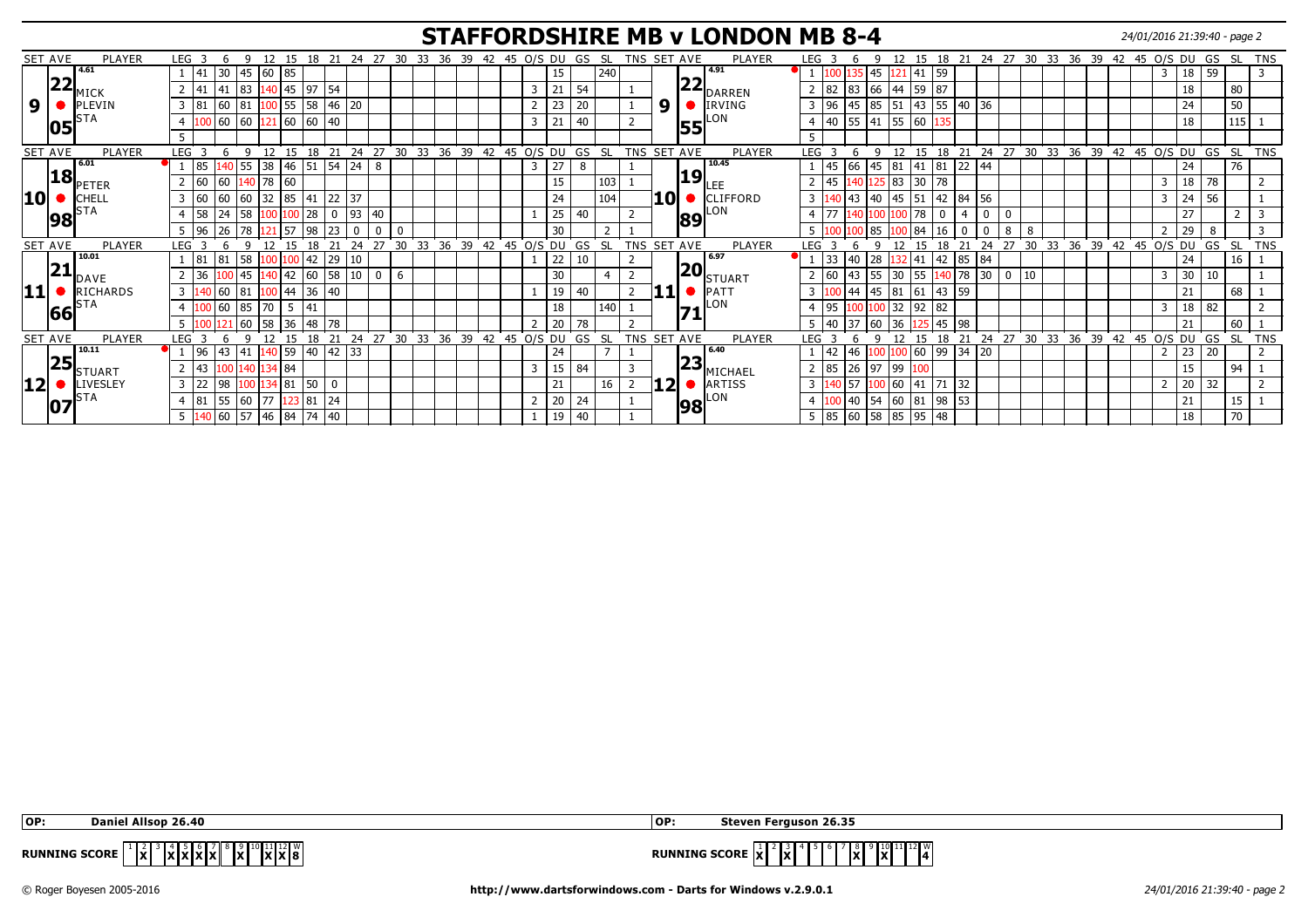#### **STAFFORDSHIRE MB v LONDON MB 8-4** 24/01/2016 21:39:40 - page 2

|    | SET AVE | <b>PLAYER</b> | LEG <sub>3</sub>                |        | Q        | 12            |               |              |                                      |       |             |       |    |       |    |              |   |    |    | 15 18 21 24 27 30 33 36 39 42 45 0/S DU GS SL |  |    | TNS SET AVE | PLAYER        | LEG <sub>3</sub> |    |                       | q            | 12 <sup>7</sup> |                      |    |              |    |    |    |                |       |    | 15 18 21 24 27 30 33 36 39 42 45 O/S DU GS SL |          |     |     | <b>TNS</b>              |
|----|---------|---------------|---------------------------------|--------|----------|---------------|---------------|--------------|--------------------------------------|-------|-------------|-------|----|-------|----|--------------|---|----|----|-----------------------------------------------|--|----|-------------|---------------|------------------|----|-----------------------|--------------|-----------------|----------------------|----|--------------|----|----|----|----------------|-------|----|-----------------------------------------------|----------|-----|-----|-------------------------|
|    |         | 4.61          | $ 41\rangle$                    | 30     |          | 45 60 85      |               |              |                                      |       |             |       |    |       |    |              |   | 15 |    | 240                                           |  |    | רר          | 14.91         |                  |    | 135                   | 45  121      |                 | 41 59                |    |              |    |    |    |                |       |    | 3                                             | 59<br>18 |     |     | $\overline{\mathbf{3}}$ |
|    | 22      | MICK          | 41                              | 41     | 83       |               | 140   45   97 |              | 54                                   |       |             |       |    |       |    |              | 3 | 21 | 54 |                                               |  |    |             | <b>DARREN</b> |                  | 82 | 83                    | 66 44        |                 | 59 87                |    |              |    |    |    |                |       |    |                                               | 18       |     | 80  |                         |
| 9  |         | PLEVIN        | 3   81                          | 60     | 81       |               | $.00$ 55 58   |              |                                      | 46 20 |             |       |    |       |    |              |   | 23 | 20 |                                               |  | 9  |             | IRVING        | $\overline{3}$   | 96 | 45                    | 85 51        |                 | $43 \mid 55 \mid 40$ |    |              | 36 |    |    |                |       |    |                                               | 24       |     | 50  |                         |
|    | 105     |               | $\overline{\mathcal{A}}$        | 60     | 60       |               | 60 60         |              | $ 40\rangle$                         |       |             |       |    |       |    |              | 3 | 21 | 40 |                                               |  |    | 55          | LON           |                  | 40 | 55 41 55              |              |                 | 60                   |    |              |    |    |    |                |       |    |                                               | 18       |     | 115 |                         |
|    |         |               | -5                              |        |          |               |               |              |                                      |       |             |       |    |       |    |              |   |    |    |                                               |  |    |             |               | 5                |    |                       |              |                 |                      |    |              |    |    |    |                |       |    |                                               |          |     |     |                         |
|    | SET AVE | PLAYER        | LEG                             |        | $\Omega$ | 12            | 15            |              | 18 21 24 27 30 33 36 39 42 45 0/S DU |       |             |       |    |       |    |              |   |    |    | GS SL                                         |  |    | TNS SET AVE | PLAYER        | LEG              |    |                       | $\mathsf{Q}$ | 12              | 15                   |    |              |    |    |    |                |       |    | 18 21 24 27 30 33 36 39 42 45 0/S DU GS SL    |          |     |     | TNS                     |
|    |         | 6.01          | l 85                            |        | 55       | 38            | 46            | 51           | 54                                   | 24    | l 8         |       |    |       |    |              | 3 | 27 | 8  |                                               |  |    |             | 10.45         |                  | 45 | 66                    | 45           | 81              | $41 \mid 81$         |    | $ 22\rangle$ | 44 |    |    |                |       |    |                                               | 24       |     | 76  |                         |
|    | 18      | <b>PETER</b>  | 160                             | 60     |          | 140   78   60 |               |              |                                      |       |             |       |    |       |    |              |   | 15 |    | 103                                           |  |    | 19          |               |                  | 45 |                       |              | 25   83         | 30                   | 78 |              |    |    |    |                |       |    |                                               | 78<br>18 |     |     |                         |
| 10 |         | CHELL         | 160<br>3                        | l 60   | 60       | 32            | 85            | 41           |                                      | 22 37 |             |       |    |       |    |              |   | 24 |    | 104                                           |  | 10 |             | CLIFFORD      | 3                |    | <b>43</b>             | 40           | 45              | 51                   | 42 | 84           | 56 |    |    |                |       |    | -3                                            | $24$ 56  |     |     |                         |
|    | 98      |               | 58                              |        | 58       |               |               | 28           |                                      | 93    | 40          |       |    |       |    |              |   | 25 | 40 |                                               |  |    | 89          | LON           |                  |    |                       |              |                 | 78                   |    |              |    |    |    |                |       |    |                                               | 27       |     |     |                         |
|    |         |               | 96 <br>5                        |        | 78       |               | <b>S7</b>     | 98           | 23                                   | 0     | $\Omega$    |       |    |       |    |              |   | 30 |    |                                               |  |    |             |               | 5.               |    |                       | 185          |                 | 84                   | 16 | $\mathbf{0}$ |    | 8  | -8 |                |       |    |                                               | 29       | 8   |     | 3                       |
|    | SET AVE | PLAYER        | LEG                             |        |          |               |               |              |                                      |       | 27          | 30    | 33 | 36    | 39 | 42 45 0/S DU |   |    | GS | <b>SL</b>                                     |  |    | TNS SET AVE | PLAYER        | <b>LEG</b>       |    |                       |              |                 |                      |    |              | 24 | 27 | 30 | 33             | 36 39 | 42 | 45 O/S DU                                     | GS       | -SL |     | <b>TNS</b>              |
|    |         | 10.01         |                                 | 81     | 58       |               |               | 42           | 29                                   | 10    |             |       |    |       |    |              |   | 22 | 10 |                                               |  |    |             | 6.97          |                  | 33 | 40                    | 28           |                 | 41                   | 42 | 85           | 84 |    |    |                |       |    |                                               | 24       |     | 16  |                         |
|    | 21      | <b>DAVE</b>   | 36                              |        | 45       |               | 42            | 60           |                                      | 10    | $\mathbf 0$ |       |    |       |    |              |   | 30 |    |                                               |  |    | 20          | 'ISTUART      |                  |    |                       |              | 30              | 55                   |    | 178          | 30 |    | 10 |                |       |    |                                               | 30       | 10  |     |                         |
|    |         | RICHARDS      | 3                               | 140 60 | 81       | $100$ 44      |               | 36           | 40                                   |       |             |       |    |       |    |              |   | 19 | 40 |                                               |  |    |             | PATT          | $\overline{3}$   |    | 144                   | 45 81        |                 | 61   43   59         |    |              |    |    |    |                |       |    |                                               | 21       |     | 68  |                         |
|    | 66      |               |                                 | l 60   | 85       | $.170-1$      | 5             | 41           |                                      |       |             |       |    |       |    |              |   | 18 |    | 140                                           |  |    | 71          | LON           |                  | 95 |                       | 100 32       |                 | 92   82              |    |              |    |    |    |                |       |    |                                               | 82<br>18 |     |     |                         |
|    |         |               | -5                              |        | 60       | l 58          | 36            | 48           | 78                                   |       |             |       |    |       |    |              |   | 20 | 78 |                                               |  |    |             |               | $5 \mid 40$      |    | 37                    | 160          | 36              |                      | 45 | 98           |    |    |    |                |       |    |                                               | 21       |     | 60  |                         |
|    | SET AVE | <b>PLAYER</b> | <b>LEG</b>                      |        |          |               |               | 18           | 21                                   | 24    | 27          | 30 33 |    | 36 39 |    | 42 45 0/S DU |   |    |    | GS SL                                         |  |    | TNS SET AVE | <b>PLAYER</b> | LEG              |    |                       | $\Omega$     |                 |                      | 18 | 21           | 24 | 27 |    | 30 33 36 39 42 |       |    | 45 O/S DU                                     | GS       | -SL |     | <b>TNS</b>              |
|    |         | 10.11         | 96                              | l 43   | 41       | 140 59        |               | $ 40\rangle$ | 42   33                              |       |             |       |    |       |    |              |   | 24 |    |                                               |  |    |             | 6.40          |                  | 42 | 46                    |              |                 | 60   99              |    | 34           | 20 |    |    |                |       |    |                                               | 20<br>23 |     |     | $\overline{2}$          |
|    | 25      | STUART        | 43                              |        | 140      | 134 84        |               |              |                                      |       |             |       |    |       |    |              | 3 | 15 | 84 |                                               |  |    | 23          | ∥MICHAEL      |                  | 85 | 26 97                 |              | 99              |                      |    |              |    |    |    |                |       |    |                                               | 15       |     | 94  |                         |
|    |         | LIVESLEY      | 122<br>$\overline{3}$           | 98     |          |               | 81            | 50           |                                      |       |             |       |    |       |    |              |   | 21 |    | 16                                            |  |    |             | ARTISS        | $\overline{3}$   |    | .157                  |              | 0 60            | 41                   |    | 32           |    |    |    |                |       |    |                                               | 20<br>32 |     |     |                         |
|    | 10      |               | 81<br>$\overline{4}$            | 55     | 60       | 177           |               | 123 81       | 24                                   |       |             |       |    |       |    |              |   | 20 | 24 |                                               |  |    | 98          | LON           | $\overline{4}$   |    | $ 40\rangle$          | 54           | 60              | 81   98   53         |    |              |    |    |    |                |       |    |                                               | 21       |     | 15  |                         |
|    |         |               | $5 \vert 140 \vert 60 \vert 57$ |        |          | 46 84         |               | 74           | 40                                   |       |             |       |    |       |    |              |   | 19 | 40 |                                               |  |    |             |               |                  |    | $5 \vert 85 \vert 60$ |              |                 | 58 85 95 48          |    |              |    |    |    |                |       |    |                                               | 18       |     | 70  |                         |

| OP                   | . 26.40<br>Allenn<br>Dani.                                                                                                                                                             | 1OP                  | n Ferauson 26.35<br>steven                                                       |
|----------------------|----------------------------------------------------------------------------------------------------------------------------------------------------------------------------------------|----------------------|----------------------------------------------------------------------------------|
| <b>RUNNING SCORE</b> | $\begin{bmatrix} 10 \\ 20 \\ 10 \end{bmatrix}$ $\begin{bmatrix} 11 \\ 20 \\ 8 \end{bmatrix}$ $\begin{bmatrix} 10 \\ 8 \\ 8 \end{bmatrix}$<br>$\mathbf{X}$<br> X X X X <br>$\mathbf{A}$ | <b>RUNNING SCORE</b> | 11 12 W<br>. .<br>lxl<br>IxI<br>IV I<br>$\overline{\mathbf{v}}$<br>- іх.<br>IA I |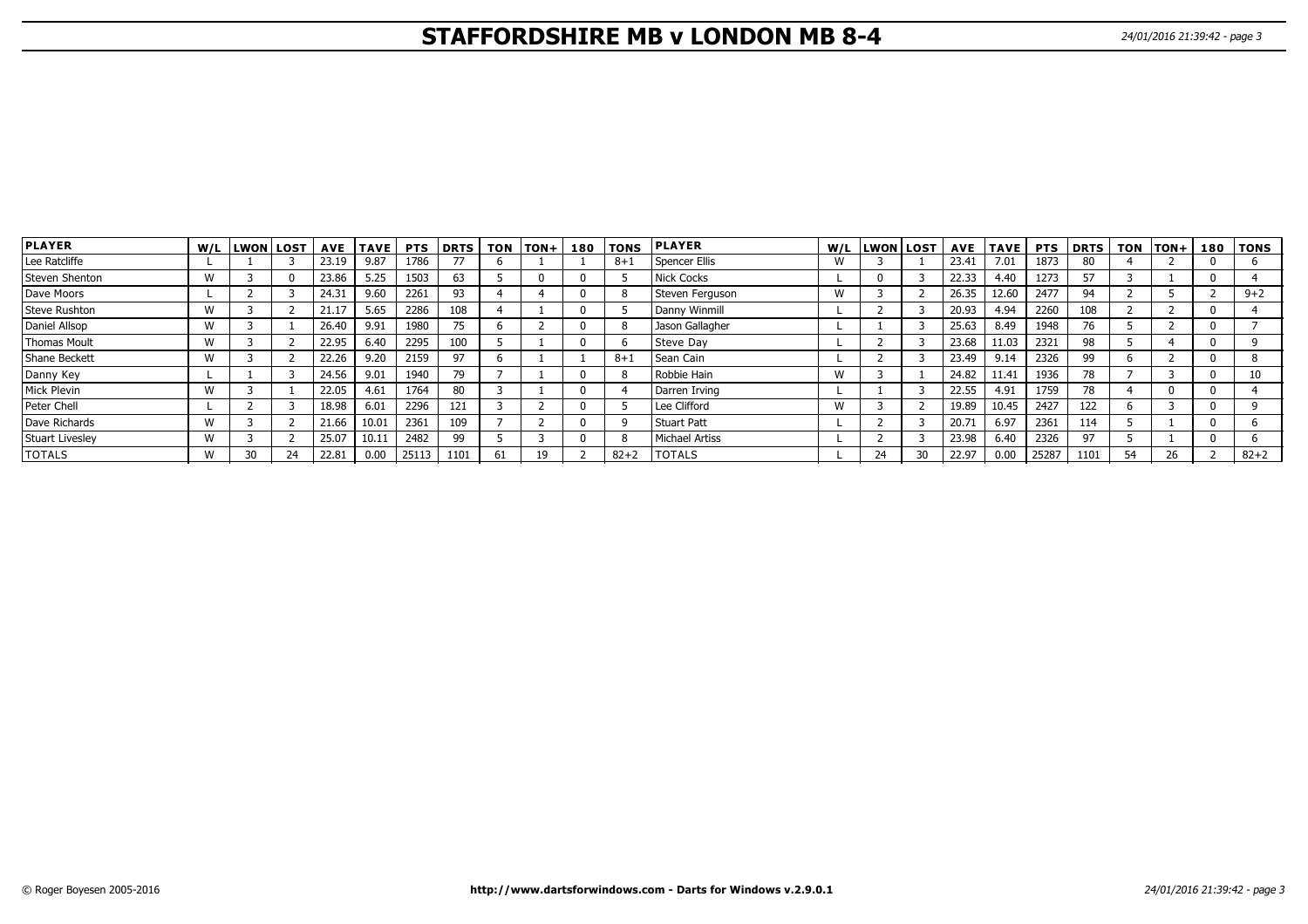# **STAFFORDSHIRE MB v LONDON MB 8-4** 24/01/2016 21:39:42 - page 3

|  | 24/01/2016 21:39:42 - page |  |
|--|----------------------------|--|
|  |                            |  |

| <b>PLAYER</b>   | W/L | <b>LWON LOST</b> |       | AVE TAVE | <b>PTS</b> | <b>DRTS</b> | <b>TON</b> | <b>TON+</b> |   | 180   TONS | <b>PLAYER</b>   |   | W/L LWON LOST |    |       | AVE  TAVE   PTS |       | <b>DRTS</b> |    | TON TON+1 | 180   TONS |
|-----------------|-----|------------------|-------|----------|------------|-------------|------------|-------------|---|------------|-----------------|---|---------------|----|-------|-----------------|-------|-------------|----|-----------|------------|
| Lee Ratcliffe   |     |                  | 23.19 | 9.87     | 1786       |             |            |             |   | $8 + 1$    | Spencer Ellis   | W |               |    | 23.41 | 7.01            | 1873  | 80          |    |           |            |
| Steven Shenton  | W   |                  | 23.86 | 5.25     | 1503       | 63          |            |             |   |            | Nick Cocks      |   |               |    | 22.33 | 4.40            | 1273  | 57          |    |           |            |
| Dave Moors      |     |                  | 24.31 | 9.60     | 2261       | 93          |            |             |   |            | Steven Ferguson | W |               |    | 26.35 | 12.60           | 2477  | 94          |    |           | $9 + 2$    |
| Steve Rushton   | W   |                  | 21.17 | 5.65     | 2286       | 108         |            |             |   |            | Danny Winmill   |   |               |    | 20.93 | 4.94            | 2260  | 108         |    |           |            |
| Daniel Allsop   | W   |                  | 26.40 | 9.91     | 1980       | 75          |            |             |   |            | Jason Gallagher |   |               |    | 25.63 | 8.49            | 1948  | 76          |    |           |            |
| Thomas Moult    | W   |                  | 22.95 | 6.40     | 2295       | 100         |            |             |   |            | Steve Day       |   |               |    | 23.68 | 11.03           | 2321  | 98          |    |           |            |
| Shane Beckett   | W   |                  | 22.26 | 9.20     | 2159       | 97          |            |             |   | $8 + 1$    | Sean Cain       |   |               |    | 23.49 | 9.14            | 2326  | 99          |    |           |            |
| Danny Key       |     |                  | 24.56 | 9.01     | 1940       | 79          |            |             |   |            | Robbie Hain     | W |               |    | 24.82 | 11.41           | 1936  | 78          |    |           | 10         |
| Mick Plevin     | W   |                  | 22.05 | 4.61     | 1764       | 80          |            |             |   |            | Darren Irving   |   |               |    | 22.55 | 4.91            | 1759  | 78          |    |           |            |
| Peter Chell     |     |                  | 18.98 | 6.01     | 2296       | 121         |            |             |   |            | Lee Clifford    | W |               |    | 19.89 | 10.45           | 2427  | 122         |    |           |            |
| Dave Richards   | W   |                  | 21.66 | 10.01    | 2361       | 109         |            |             | n |            | Stuart Patt     |   |               |    | 20.71 | 6.97            | 2361  | 114         |    |           |            |
| Stuart Livesley | W   |                  | 25.07 | 10.11    | 2482       | 99          |            |             |   |            | Michael Artiss  |   |               |    | 23.98 | 6.40            | 2326  | 97          |    |           |            |
| <b>TOTALS</b>   | w   | 24               | 22.81 | 0.00     | 25113      | 1101        | 61         | 19          |   | $82 + 2$   | <b>TOTALS</b>   |   | 24            | 30 | 22.97 | 0.00            | 25287 | 1101        | 54 | 26        | $82 + 2$   |

**LONDON MB**

**STAFFORDSHIRE MB**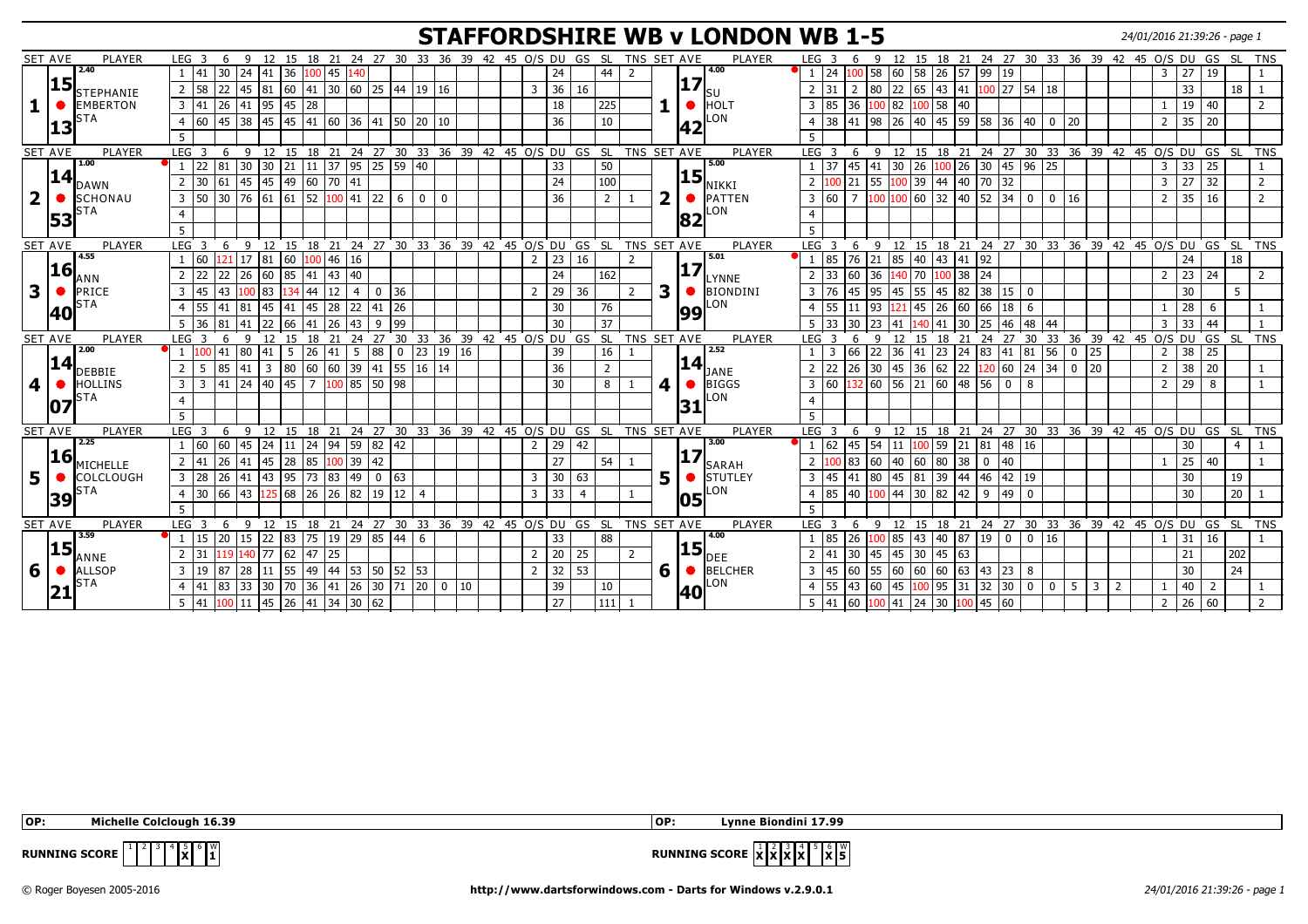## **STAFFORDSHIRE WB v LONDON WB 1-5** 24/01/2016 21:39:26 - page 1

|                | <b>SET AVE</b><br>PLAYER                         | LEG <sub>3</sub>       | -6                                                  |              |              |                |                |                                        |     |                | 9 12 15 18 21 24 27 30 33 36 39 42 45 0/S DU GS SL   |             |        |  |                |                 |                 |                | TNS SET AVE                                                    |                         |     |                               | PLAYER                            | LEG <sub>3</sub>                  | 6               |                                                                               |                |            |                                                                    |                             | 9 12 15 18 21 24 27 30 33 36 39 42 45 0/S DU GS SL |                 |                 |            |                |    |                |      | TNS                                                    |
|----------------|--------------------------------------------------|------------------------|-----------------------------------------------------|--------------|--------------|----------------|----------------|----------------------------------------|-----|----------------|------------------------------------------------------|-------------|--------|--|----------------|-----------------|-----------------|----------------|----------------------------------------------------------------|-------------------------|-----|-------------------------------|-----------------------------------|-----------------------------------|-----------------|-------------------------------------------------------------------------------|----------------|------------|--------------------------------------------------------------------|-----------------------------|----------------------------------------------------|-----------------|-----------------|------------|----------------|----|----------------|------|--------------------------------------------------------|
|                | 2.40                                             | 41                     | 30                                                  | 24           | 41 36        |                | $100$ 45       |                                        | 140 |                |                                                      |             |        |  |                | 24              |                 | 44             | $\overline{z}$                                                 |                         |     |                               | 4.00                              | 24                                |                 | .00   58   60                                                                 |                |            | 58 26 57 99 19                                                     |                             |                                                    |                 |                 |            | $\overline{3}$ | 27 | 19             |      |                                                        |
|                | 15                                               | 58<br>$\overline{2}$   |                                                     |              |              |                |                |                                        |     |                | 22 45 81 60 41 30 60 25 44 19 16                     |             |        |  | 3              | 36              | 16              |                |                                                                |                         |     | 17                            |                                   | 31                                |                 |                                                                               |                |            |                                                                    |                             | $2$ 80 22 65 43 41 100 27 54 18                    |                 |                 |            |                | 33 |                |      | $18$   1                                               |
|                | <b>STEPHANIE</b><br><b>EMBERTON</b><br>$\bullet$ |                        | $3 \mid 41 \mid 26 \mid 41 \mid 95 \mid 45 \mid 28$ |              |              |                |                |                                        |     |                |                                                      |             |        |  |                | 18              |                 |                |                                                                |                         |     | lsu                           |                                   | $3 \mid 85$                       |                 | 36 100 82 100 58 40                                                           |                |            |                                                                    |                             |                                                    |                 |                 |            |                |    |                |      | 2                                                      |
|                | <b>STA</b>                                       |                        |                                                     |              |              |                |                |                                        |     |                |                                                      |             |        |  |                |                 |                 | 225            |                                                                |                         |     | $\bullet$ HOLT                | LON                               |                                   |                 |                                                                               |                |            |                                                                    |                             |                                                    |                 |                 |            |                |    | 19 40          |      |                                                        |
|                | 13                                               | 60<br>$\overline{4}$   |                                                     | 45 38        |              | 45 45 41 60 36 |                |                                        |     |                | 41   50   20   10                                    |             |        |  |                | 36              |                 | 10             |                                                                |                         |     | 42                            |                                   | $\overline{38}$<br>$\overline{4}$ |                 | 41 98 26 40 45 59 58 36                                                       |                |            |                                                                    |                             |                                                    | 40   0  20      |                 |            | $\overline{2}$ |    | $35 \mid 20$   |      |                                                        |
|                |                                                  |                        |                                                     |              |              |                |                |                                        |     |                |                                                      |             |        |  |                |                 |                 |                |                                                                |                         |     |                               |                                   |                                   |                 |                                                                               |                |            |                                                                    |                             |                                                    |                 |                 |            |                |    |                |      |                                                        |
|                | PLAYER<br><b>SET AVE</b>                         | LEG <sub>3</sub>       | 6                                                   | -9           |              |                |                |                                        |     |                | 12 15 18 21 24 27 30 33 36 39 42 45 0/S DU GS SL     |             |        |  |                |                 |                 |                | TNS SET AVE                                                    |                         |     |                               | PLAYER                            | LEG <sub>3</sub>                  | 6               | $\mathsf{q}$                                                                  |                |            |                                                                    |                             | $12$ 15 18 21 24 27 30 33 36 39 42 45 O/S DU GS    |                 |                 |            |                |    |                | - SL | <b>TNS</b>                                             |
|                | 1.00                                             |                        | 22 81 30                                            |              | $30 \mid 21$ |                |                |                                        |     |                | $11 \mid 37 \mid 95 \mid 25 \mid 59 \mid 40$         |             |        |  |                | 33              |                 | 50             |                                                                |                         |     | 5.00                          |                                   | 37                                | 45 41           |                                                                               |                |            |                                                                    |                             | $30$ 26 $100$ 26 30 45 96 25                       |                 |                 |            | $\overline{3}$ |    | $33$ 25        |      |                                                        |
|                | $\bm{14}$ <sub>DAWN</sub>                        | 2                      | 30 61 45                                            |              |              | 45  49         |                | 60 70 41                               |     |                |                                                      |             |        |  |                | 24              |                 | 100            |                                                                |                         |     | <b>15</b>                     | NIKKI                             | $\overline{2}$                    | $ 21\rangle$    | 55                                                                            | 100            |            | 39 44 40 70 32                                                     |                             |                                                    |                 |                 |            | $\overline{3}$ |    | 27 32          |      | 2                                                      |
| $\overline{2}$ | $\bullet$<br><b>SCHONAU</b>                      | 50<br>3                |                                                     | $30 \mid 76$ | 61 61        |                | 52             | 100 41                                 |     | 22             | 6<br>$\mathbf{0}$                                    | $\mathbf 0$ |        |  |                | 36              |                 | 2              |                                                                | $\overline{\mathbf{2}}$ |     | $\bullet$ PATTEN              |                                   | 60<br>3                           | $\overline{7}$  | $\left  \frac{100}{100} \right  60 \left  32 \right  40 \left  52 \right  34$ |                |            |                                                                    |                             | $\mathbf 0$                                        | $\mathbf 0$     | 16              |            | $\overline{2}$ |    | 35 16          |      | 2                                                      |
|                | <b>STA</b>                                       |                        |                                                     |              |              |                |                |                                        |     |                |                                                      |             |        |  |                |                 |                 |                |                                                                |                         |     |                               | LON                               |                                   |                 |                                                                               |                |            |                                                                    |                             |                                                    |                 |                 |            |                |    |                |      |                                                        |
|                | 53                                               |                        |                                                     |              |              |                |                |                                        |     |                |                                                      |             |        |  |                |                 |                 |                |                                                                |                         |     | 82                            |                                   |                                   |                 |                                                                               |                |            |                                                                    |                             |                                                    |                 |                 |            |                |    |                |      |                                                        |
|                | <b>SET AVE</b><br>PLAYER                         | LEG <sub>3</sub>       | 6                                                   |              |              |                |                |                                        |     |                |                                                      |             |        |  |                |                 |                 |                | 9 12 15 18 21 24 27 30 33 36 39 42 45 O/S DU GS SL TNS SET AVE |                         |     |                               | PLAYER                            | $LEG$ 3                           | -6              |                                                                               |                |            |                                                                    |                             |                                                    |                 |                 |            |                |    |                |      | 9 12 15 18 21 24 27 30 33 36 39 42 45 O/S DU GS SL TNS |
|                | 4.55                                             | 60                     |                                                     | 21 17        | 81 60        |                |                | $100$ 46 16                            |     |                |                                                      |             |        |  | $\overline{2}$ | 23              | 16              |                | 2                                                              |                         |     | 5.01                          |                                   | 85                                |                 | 76 21 85 40 43 41 92                                                          |                |            |                                                                    |                             |                                                    |                 |                 |            |                | 24 |                | 18   |                                                        |
|                | <b>16</b>                                        | l 22<br>$\overline{2}$ | 22                                                  | 26           |              | 60 85          |                | 41 43 40                               |     |                |                                                      |             |        |  |                | 24              |                 | 162            |                                                                |                         |     |                               | $\left 17\right _{\text{LYNNE}}$  | 33                                | 60              | 36                                                                            | 140<br>70      |            | 100 38 24                                                          |                             |                                                    |                 |                 |            | $\overline{2}$ |    | $23 \mid 24$   |      | 2                                                      |
|                |                                                  |                        |                                                     |              |              |                |                |                                        |     |                |                                                      |             |        |  |                |                 |                 |                |                                                                |                         |     |                               |                                   |                                   |                 |                                                                               |                |            |                                                                    |                             |                                                    |                 |                 |            |                |    |                |      |                                                        |
| 3              | PRICE<br>$\bullet$<br><b>STA</b>                 | 145<br>$\overline{3}$  | 43                                                  | 100          | 83           | 134            | 44             | $12 \mid 4$                            |     | $\overline{0}$ | 36                                                   |             |        |  | $\overline{2}$ | 29              | 36              |                | $\overline{2}$                                                 | 3                       |     |                               | $\bigcirc$ <b>BIONDINI</b><br>LON | 76<br>3                           | 45              | 95                                                                            |                |            | 45 55 45 82 38 15                                                  |                             | $\mathbf{0}$                                       |                 |                 |            |                | 30 |                | 5    |                                                        |
|                | 40                                               | 55<br>$\overline{4}$   |                                                     | $41 \ 81$    | 45 41        |                | 45             | 28 22                                  |     | 41 26          |                                                      |             |        |  |                | 30              |                 | 76             |                                                                |                         |     | 99                            |                                   | 55<br>$\overline{4}$              | 11   93         |                                                                               | $121$ 45 26 60 |            |                                                                    | 66 18                       | 6                                                  |                 |                 |            |                |    | 28 6           |      |                                                        |
|                |                                                  |                        | 36 81                                               | 41           | 22 66        |                |                | $\boxed{41}$ $\boxed{26}$ $\boxed{43}$ |     | $9$ 99         |                                                      |             |        |  |                | 30              |                 | 37             |                                                                |                         |     |                               |                                   | $5 \mid 33$                       | 30              | 23   41                                                                       |                | 140 41     | $30 \ 25 \ 46$                                                     |                             |                                                    | $\sqrt{48}$ 44  |                 |            | $\overline{3}$ |    | $33 \mid 44$   |      |                                                        |
|                | PLAYER<br><b>SET AVE</b>                         | LEG <sub>3</sub>       | -6                                                  | $\mathsf{q}$ | 12           | 15             |                |                                        |     |                |                                                      |             |        |  |                |                 |                 |                | 18 21 24 27 30 33 36 39 42 45 0/S DU GS SL TNS SET AVE         |                         |     |                               | PLAYER                            | $LEG$ 3                           | 6               | $\mathsf{Q}$                                                                  | 12             |            |                                                                    |                             | 15 18 21 24 27 30 33 36 39 42 45 0/S DU GS SL      |                 |                 |            |                |    |                |      | <b>TNS</b>                                             |
|                | 2.00                                             |                        | 41                                                  | 80           | 41           | 5              | 26             | 41 5                                   |     | 88             | 23<br>$\mathbf 0$                                    |             | 19 16  |  |                | 39              |                 | 16             |                                                                |                         |     | 2.52                          |                                   | 3                                 | 66              | 22                                                                            | 36<br>41       |            |                                                                    |                             | 23 24 83 41 81                                     | 56              |                 |            | $\overline{2}$ |    | 38 25          |      |                                                        |
|                | $\overline{\mathbf{14}}_\mathsf{DEBBIE}$         | l 5<br>$\overline{2}$  |                                                     | 85 41        | 3 80         |                |                |                                        |     |                | 60 60 39 41 55 16 14                                 |             |        |  |                | 36              |                 | $\overline{2}$ |                                                                |                         |     | $\left 14\right _\text{JANE}$ |                                   | 2 22                              |                 | 26 30 45                                                                      |                |            |                                                                    |                             | $36$ 62 22 120 60 24 34 0 20                       |                 |                 |            | $\overline{2}$ |    | 38 20          |      |                                                        |
| $\vert$ 4      | <b>O</b> HOLLINS                                 | $\overline{3}$<br>3    |                                                     | $41 \ 24$    | 40 45        |                | $\overline{7}$ | 100 85                                 |     | 50 98          |                                                      |             |        |  |                | 30              |                 | 8              |                                                                | 4                       |     |                               | <b>BIGGS</b>                      | 3 60                              |                 | $\frac{32}{60}$ 56 21 60 48 56                                                |                |            |                                                                    |                             | $\overline{0}$<br>8                                |                 |                 |            | $\overline{2}$ |    | $29$ 8         |      |                                                        |
|                | <b>STA</b><br>107                                |                        |                                                     |              |              |                |                |                                        |     |                |                                                      |             |        |  |                |                 |                 |                |                                                                |                         | 131 |                               | LON                               |                                   |                 |                                                                               |                |            |                                                                    |                             |                                                    |                 |                 |            |                |    |                |      |                                                        |
|                |                                                  |                        |                                                     |              |              |                |                |                                        |     |                |                                                      |             |        |  |                |                 |                 |                |                                                                |                         |     |                               |                                   |                                   |                 |                                                                               |                |            |                                                                    |                             |                                                    |                 |                 |            |                |    |                |      |                                                        |
|                | PLAYER<br><b>SET AVE</b>                         | LEG <sub>3</sub>       | 6                                                   | - 9          |              |                |                |                                        |     |                |                                                      |             |        |  |                |                 |                 |                | 12 15 18 21 24 27 30 33 36 39 42 45 O/S DU GS SL TNS SET AVE   |                         |     |                               | PLAYER                            | LEG <sub>3</sub>                  | 6               |                                                                               |                |            |                                                                    |                             | 9 12 15 18 21 24 27 30 33 36 39 42 45 O/S DU GS    |                 |                 |            |                |    |                | - SL | <b>TNS</b>                                             |
|                | 2.25                                             | 60                     | 60                                                  | 45           | 24 11        |                |                | 24   94   59                           |     | 82 42          |                                                      |             |        |  | $\overline{2}$ | 29              | 42              |                |                                                                |                         |     | 3.00                          |                                   | 62                                | 145             | 54 11                                                                         |                |            | $100$ 59 21 81 48                                                  |                             | 116                                                |                 |                 |            |                | 30 |                |      |                                                        |
|                | 16 <br><b>MICHELLE</b>                           | 41<br>2                | 26                                                  | 41           | 45 28        |                | 85             | 100 39                                 |     | 42             |                                                      |             |        |  |                | 27              |                 | 54             |                                                                |                         |     | 17                            | SARAH                             |                                   | 83              | 60                                                                            | $140$ 60 80    |            | $38$                                                               | $ 40\rangle$<br>$\mathbf 0$ |                                                    |                 |                 |            |                |    | 25 40          |      |                                                        |
| 5              | $\bullet$<br><b>COLCLOUGH</b>                    | 128<br>$\overline{3}$  |                                                     | $26 \mid 41$ |              | 43 95 73 83 49 |                |                                        |     | $0 \mid 63$    |                                                      |             |        |  | $\overline{3}$ | 30              | 63              |                |                                                                | 5                       |     |                               | • <b>STUTLEY</b>                  | 45<br>$\overline{3}$              | 141             | $ 80\rangle$                                                                  | 45 81 39 44    |            |                                                                    | 46 42                       | 19                                                 |                 |                 |            |                | 30 |                | 19   |                                                        |
|                | <b>STA</b>                                       | $\overline{4}$         | $30 \ 66 \ 43$                                      |              |              | 12568262682    |                |                                        |     |                | $19 \mid 12 \mid 4$                                  |             |        |  | $\overline{3}$ | $\overline{33}$ | $\overline{4}$  |                |                                                                |                         |     |                               | LON                               | 85<br>$\overline{4}$              | $\overline{40}$ | $100$ 44                                                                      |                |            | $30 \ 82 \ 42 \ 9 \ 49$                                            |                             | $\Omega$                                           |                 |                 |            |                | 30 |                | 20   |                                                        |
|                | 39                                               |                        |                                                     |              |              |                |                |                                        |     |                |                                                      |             |        |  |                |                 |                 |                |                                                                |                         |     | 105                           |                                   |                                   |                 |                                                                               |                |            |                                                                    |                             |                                                    |                 |                 |            |                |    |                |      |                                                        |
|                |                                                  |                        |                                                     |              |              |                |                |                                        |     |                |                                                      |             |        |  |                |                 |                 |                |                                                                |                         |     |                               |                                   |                                   |                 |                                                                               |                |            |                                                                    |                             |                                                    |                 |                 |            |                |    |                |      |                                                        |
|                | <b>SET AVE</b><br>PLAYER<br>3.59                 | LEG <sub>3</sub>       |                                                     |              |              |                |                |                                        |     |                | 6 9 12 15 18 21 24 27 30 33 36 39 42 45 0/S DU GS SL |             |        |  |                |                 |                 |                | TNS SET AVE                                                    |                         |     | 4.00                          | PLAYER                            | LEG <sub>3</sub>                  | 6               |                                                                               |                |            |                                                                    |                             | 9 12 15 18 21 24 27 30 33 36 39 42 45 0/S DU GS SL |                 |                 |            |                |    |                |      | <b>TNS</b>                                             |
|                | 15                                               | 15                     |                                                     | 20 15        |              |                |                |                                        |     |                |                                                      |             |        |  |                | 33              |                 | 88             |                                                                |                         |     | 15                            |                                   | 85                                | $\overline{26}$ | 100 85                                                                        |                |            | 43 40 87 19 0                                                      |                             | $\mathbf{0}$                                       | $\overline{16}$ |                 |            |                | 31 | 16             |      |                                                        |
|                | ANNE                                             | 31<br>2                |                                                     | 19 140 77 62 |              |                | 47             | 25                                     |     |                |                                                      |             |        |  | $\overline{2}$ | 20              | 25              |                | 2                                                              |                         |     | DEE                           |                                   | 41                                | 30 <sup>°</sup> | 45 45                                                                         |                | 30  45  63 |                                                                    |                             |                                                    |                 |                 |            |                | 21 |                | 202  |                                                        |
|                | 6   ALLSOP                                       | $3 \mid 19 \mid 87$    |                                                     | 28           |              |                |                |                                        |     |                | $\vert$ 11   55   49   44   53   50   52   53        |             |        |  | $\overline{2}$ | $\overline{32}$ | $\overline{53}$ |                |                                                                |                         |     |                               | 6 <b>6</b> BELCHER                | $3 \mid 45 \mid 60$               |                 | $\begin{bmatrix} 55 & 60 & 60 & 60 & 63 & 43 & 23 \end{bmatrix}$              |                |            |                                                                    |                             | 8                                                  |                 |                 |            |                | 30 |                | 24   |                                                        |
|                | <b>STA</b><br>21                                 | 141                    |                                                     | 83 33        |              | 30 70          |                |                                        |     |                | $36$ 41 26 30 71 20                                  |             | $0$ 10 |  |                | 39              |                 | 10             |                                                                |                         |     | <b>40</b>                     | LON                               | 55                                | 43              | $\sqrt{60}$                                                                   | $\sqrt{45}$    |            | $100$ 95 31 32 30                                                  |                             |                                                    | $0 \mid 0$      | $\vert 5 \vert$ | $3 \mid 2$ |                | 40 | $\overline{2}$ |      |                                                        |
|                |                                                  | 41 <br>5.              |                                                     | 100 11       | 45   26      |                | $141$ 34 30    |                                        |     | 62             |                                                      |             |        |  |                | 27              |                 | 111            |                                                                |                         |     |                               |                                   |                                   | 5 41 60         |                                                                               |                |            | $\vert 100 \vert 41 \vert 24 \vert 30 \vert 100 \vert 45 \vert 60$ |                             |                                                    |                 |                 |            | $\overline{2}$ |    | 26   60        |      |                                                        |

 **OP: Michelle Colclough 16.39 OP: Lynne Biondini 17.99**